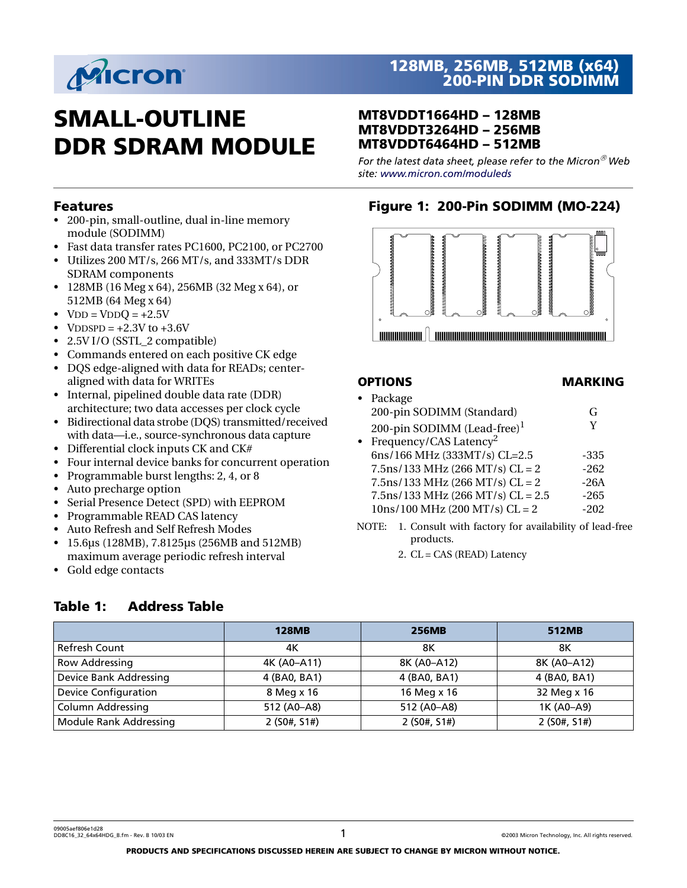

# **SMALL-OUTLINE DDR SDRAM MODULE**

#### **MT8VDDT1664HD – 128MB MT8VDDT3264HD – 256MB MT8VDDT6464HD – 512MB**

*For the latest data sheet, please refer to the Micron Web site[: www.micron.com/moduleds](http://www.micron.com/datasheets)*

**Figure 1: 200-Pin SODIMM (MO-224)**

#### **Features**

- 200-pin, small-outline, dual in-line memory module (SODIMM)
- Fast data transfer rates PC1600, PC2100, or PC2700
- Utilizes 200 MT/s, 266 MT/s, and 333MT/s DDR SDRAM components
- 128MB (16 Meg x 64), 256MB (32 Meg x 64), or 512MB (64 Meg x 64)
- $VDD = VDDQ = +2.5V$
- VDDSPD =  $+2.3V$  to  $+3.6V$
- 2.5V I/O (SSTL\_2 compatible)
- Commands entered on each positive CK edge
- DQS edge-aligned with data for READs; centeraligned with data for WRITEs
- Internal, pipelined double data rate (DDR) architecture; two data accesses per clock cycle
- Bidirectional data strobe (DQS) transmitted/received with data—i.e., source-synchronous data capture
- Differential clock inputs CK and CK#
- Four internal device banks for concurrent operation
- Programmable burst lengths: 2, 4, or 8
- Auto precharge option
- Serial Presence Detect (SPD) with EEPROM
- Programmable READ CAS latency
- Auto Refresh and Self Refresh Modes
- 15.6µs (128MB), 7.8125µs (256MB and 512MB) maximum average periodic refresh interval
- Gold edge contacts

#### **Table 1: Address Table**



## **OPTIONS MARKING**

|           | Package                              |        |
|-----------|--------------------------------------|--------|
|           | 200-pin SODIMM (Standard)            | G      |
|           | 200-pin SODIMM (Lead-free) $1$       | V      |
| $\bullet$ | Frequency/CAS Latency <sup>2</sup>   |        |
|           | 6ns/166 MHz (333MT/s) CL=2.5         | -335   |
|           | $7.5$ ns/133 MHz (266 MT/s) CL = 2   | $-262$ |
|           | $7.5$ ns/133 MHz (266 MT/s) CL = 2   | $-26A$ |
|           | $7.5$ ns/133 MHz (266 MT/s) CL = 2.5 | $-265$ |
|           | $10ns/100 MHz (200 MT/s) CL = 2$     | $-202$ |
|           |                                      |        |

- NOTE: 1. Consult with factory for availability of lead-free products.
	- 2. CL = CAS (READ) Latency

|                               | <b>128MB</b> | <b>256MB</b> | 512MB        |
|-------------------------------|--------------|--------------|--------------|
| Refresh Count                 | 4Κ           | 8Κ           | 8Κ           |
| <b>Row Addressing</b>         | 4K (A0-A11)  | 8K (A0-A12)  | 8K (A0-A12)  |
| Device Bank Addressing        | 4 (BA0, BA1) | 4 (BA0, BA1) | 4 (BA0, BA1) |
| <b>Device Configuration</b>   | 8 Meg x 16   | 16 Meg x 16  | 32 Meg x 16  |
| <b>Column Addressing</b>      | 512 (A0-A8)  | 512 (A0-A8)  | 1K (A0-A9)   |
| <b>Module Rank Addressing</b> | 2(50#, 51#)  | 2(50#, 51#)  | 2(50#, 51#)  |

09005aef806e1d28 DD8C16\_32\_64x64HDG\_B.fm - Rev. B 10/03 EN 1 ©2003 Micron Technology, Inc. All rights reserved.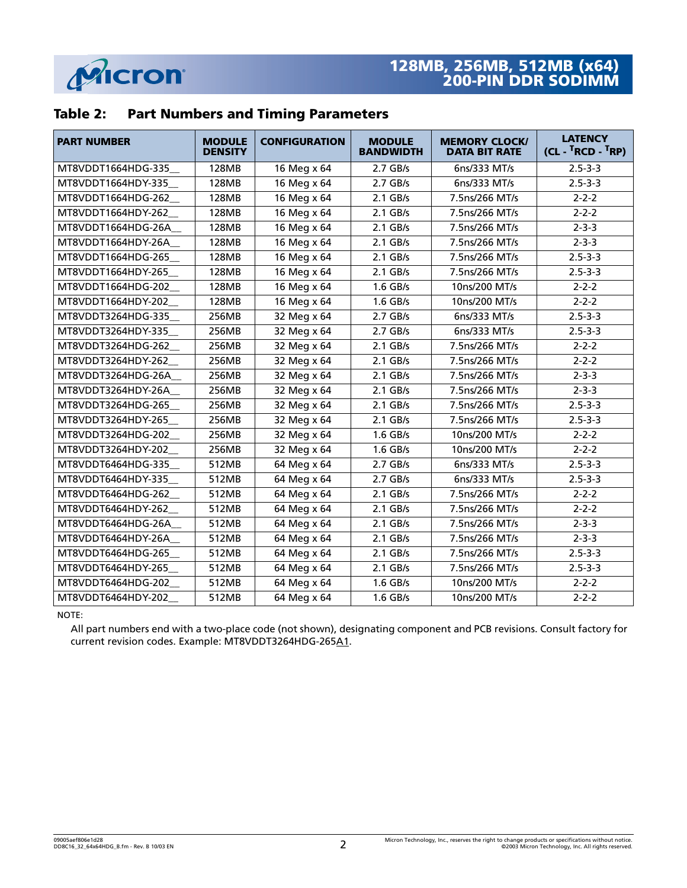

## **Table 2: Part Numbers and Timing Parameters**

| <b>PART NUMBER</b> | <b>MODULE</b><br><b>DENSITY</b> | <b>CONFIGURATION</b> | <b>MODULE</b><br><b>BANDWIDTH</b> | <b>MEMORY CLOCK/</b><br><b>DATA BIT RATE</b> | <b>LATENCY</b><br>$(CL - {}^{T}RCD - {}^{T}RP)$ |
|--------------------|---------------------------------|----------------------|-----------------------------------|----------------------------------------------|-------------------------------------------------|
| MT8VDDT1664HDG-335 | 128MB                           | 16 Meg x 64          | $2.7$ GB/s                        | 6ns/333 MT/s                                 | $2.5 - 3 - 3$                                   |
| MT8VDDT1664HDY-335 | 128MB                           | 16 Meg x 64          | $2.7$ GB/s                        | 6ns/333 MT/s                                 | $2.5 - 3 - 3$                                   |
| MT8VDDT1664HDG-262 | 128MB                           | 16 Meg x 64          | $2.1$ GB/s                        | 7.5ns/266 MT/s                               | $2 - 2 - 2$                                     |
| MT8VDDT1664HDY-262 | 128MB                           | 16 Meg x 64          | $2.1$ GB/s                        | 7.5ns/266 MT/s                               | $2 - 2 - 2$                                     |
| MT8VDDT1664HDG-26A | 128MB                           | 16 Meg x 64          | $2.1$ GB/s                        | 7.5ns/266 MT/s                               | $2 - 3 - 3$                                     |
| MT8VDDT1664HDY-26A | 128MB                           | 16 Meg x 64          | $2.1$ GB/s                        | 7.5ns/266 MT/s                               | $2 - 3 - 3$                                     |
| MT8VDDT1664HDG-265 | 128MB                           | 16 Meg x 64          | $2.1$ GB/s                        | 7.5ns/266 MT/s                               | $2.5 - 3 - 3$                                   |
| MT8VDDT1664HDY-265 | 128MB                           | 16 Meg x 64          | $2.1$ GB/s                        | 7.5ns/266 MT/s                               | $2.5 - 3 - 3$                                   |
| MT8VDDT1664HDG-202 | 128MB                           | 16 Meg x 64          | $1.6$ GB/s                        | 10ns/200 MT/s                                | $2 - 2 - 2$                                     |
| MT8VDDT1664HDY-202 | <b>128MB</b>                    | 16 Meg x 64          | $1.6$ GB/s                        | 10ns/200 MT/s                                | $2 - 2 - 2$                                     |
| MT8VDDT3264HDG-335 | 256MB                           | 32 Meg x 64          | $2.7$ GB/s                        | 6ns/333 MT/s                                 | $2.5 - 3 - 3$                                   |
| MT8VDDT3264HDY-335 | 256MB                           | 32 Meg x 64          | $2.7$ GB/s                        | 6ns/333 MT/s                                 | $2.5 - 3 - 3$                                   |
| MT8VDDT3264HDG-262 | 256MB                           | 32 Meg x 64          | $2.1$ GB/s                        | 7.5ns/266 MT/s                               | $2 - 2 - 2$                                     |
| MT8VDDT3264HDY-262 | 256MB                           | 32 Meg x 64          | $2.1$ GB/s                        | 7.5ns/266 MT/s                               | $2 - 2 - 2$                                     |
| MT8VDDT3264HDG-26A | 256MB                           | 32 Meg x 64          | $2.1$ GB/s                        | 7.5ns/266 MT/s                               | $2 - 3 - 3$                                     |
| MT8VDDT3264HDY-26A | 256MB                           | 32 Meg x 64          | $2.1$ GB/s                        | 7.5ns/266 MT/s                               | $2 - 3 - 3$                                     |
| MT8VDDT3264HDG-265 | 256MB                           | 32 Meg x 64          | $2.1$ GB/s                        | 7.5ns/266 MT/s                               | $2.5 - 3 - 3$                                   |
| MT8VDDT3264HDY-265 | 256MB                           | 32 Meg x 64          | $2.1$ GB/s                        | 7.5ns/266 MT/s                               | $2.5 - 3 - 3$                                   |
| MT8VDDT3264HDG-202 | 256MB                           | 32 Meg x 64          | 1.6 GB/s                          | 10ns/200 MT/s                                | $2 - 2 - 2$                                     |
| MT8VDDT3264HDY-202 | 256MB                           | 32 Meg x 64          | $1.6$ GB/s                        | 10ns/200 MT/s                                | $2 - 2 - 2$                                     |
| MT8VDDT6464HDG-335 | 512MB                           | 64 Meg x 64          | $2.7$ GB/s                        | 6ns/333 MT/s                                 | $2.5 - 3 - 3$                                   |
| MT8VDDT6464HDY-335 | 512MB                           | 64 Meg x 64          | $2.7$ GB/s                        | 6ns/333 MT/s                                 | $2.5 - 3 - 3$                                   |
| MT8VDDT6464HDG-262 | 512MB                           | 64 Meg x 64          | $2.1$ GB/s                        | 7.5ns/266 MT/s                               | $2 - 2 - 2$                                     |
| MT8VDDT6464HDY-262 | 512MB                           | 64 Meg x 64          | $2.1$ GB/s                        | 7.5ns/266 MT/s                               | $2 - 2 - 2$                                     |
| MT8VDDT6464HDG-26A | 512MB                           | 64 Meg x 64          | $2.1$ GB/s                        | 7.5ns/266 MT/s                               | $2 - 3 - 3$                                     |
| MT8VDDT6464HDY-26A | 512MB                           | 64 Meg x 64          | $2.1$ GB/s                        | 7.5ns/266 MT/s                               | $2 - 3 - 3$                                     |
| MT8VDDT6464HDG-265 | 512MB                           | 64 Meg x 64          | $2.1$ GB/s                        | 7.5ns/266 MT/s                               | $2.5 - 3 - 3$                                   |
| MT8VDDT6464HDY-265 | 512MB                           | 64 Meg x 64          | $2.1$ GB/s                        | 7.5ns/266 MT/s                               | $2.5 - 3 - 3$                                   |
| MT8VDDT6464HDG-202 | 512MB                           | 64 Meg x 64          | $1.6$ GB/s                        | 10ns/200 MT/s                                | $2 - 2 - 2$                                     |
| MT8VDDT6464HDY-202 | 512MB                           | 64 Meg x 64          | 1.6 GB/s                          | 10ns/200 MT/s                                | $2 - 2 - 2$                                     |

NOTE:

All part numbers end with a two-place code (not shown), designating component and PCB revisions. Consult factory for current revision codes. Example: MT8VDDT3264HDG-265A1.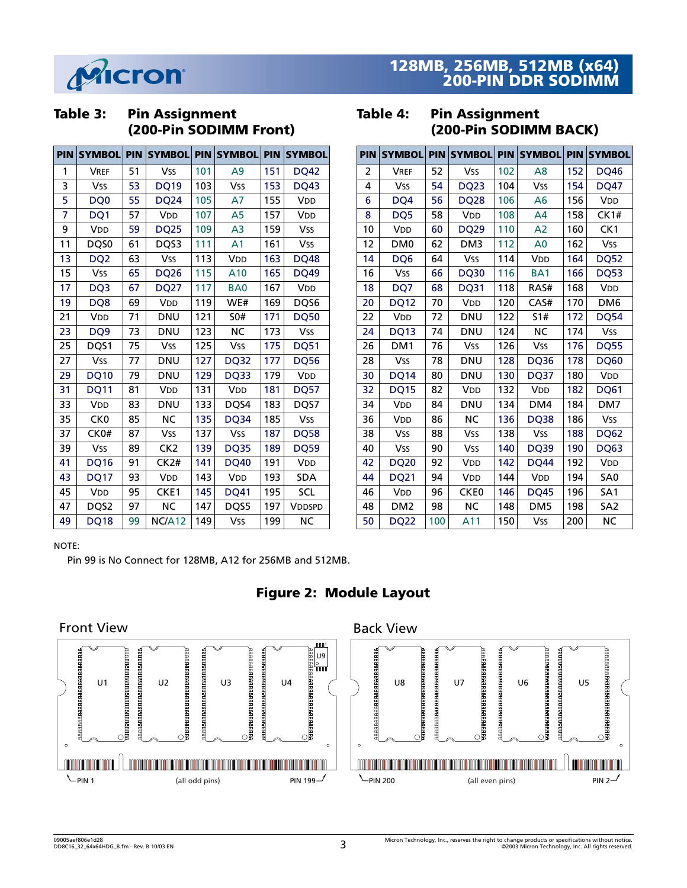

## **Table 3: Pin Assignment (200-Pin SODIMM Front)**

| <b>PIN</b> | <b>SYMBOL PIN</b> |    | <b>SYMBOL</b>         | <b>PIN</b> | <b>SYMBOL</b>         | <b>PIN</b> | <b>SYMBOL</b>         |
|------------|-------------------|----|-----------------------|------------|-----------------------|------------|-----------------------|
| 1          | <b>VREF</b>       | 51 | <b>Vss</b>            | 101        | A <sub>9</sub>        | 151        | <b>DQ42</b>           |
| 3          | <b>Vss</b>        | 53 | <b>DQ19</b>           | 103        | <b>Vss</b>            | 153        | <b>DQ43</b>           |
| 5          | DQ <sub>0</sub>   | 55 | <b>DQ24</b>           | 105        | A7                    | 155        | V <sub>DD</sub>       |
| 7          | DQ1               | 57 | VDD                   | 107        | A <sub>5</sub>        | 157        | VDD                   |
| 9          | V <sub>DD</sub>   | 59 | <b>DQ25</b>           | 109        | A <sub>3</sub>        | 159        | <b>Vss</b>            |
| 11         | DQS0              | 61 | DQS3                  | 111        | A <sub>1</sub>        | 161        | <b>Vss</b>            |
| 13         | DQ <sub>2</sub>   | 63 | <b>Vss</b>            | 113        | V <sub>DD</sub>       | 163        | <b>DQ48</b>           |
| 15         | <b>Vss</b>        | 65 | <b>DQ26</b>           | 115        | A10                   | 165        | <b>DQ49</b>           |
| 17         | DQ <sub>3</sub>   | 67 | <b>DQ27</b>           | 117        | BA <sub>0</sub>       | 167        | VDD                   |
| 19         | DQ8               | 69 | <b>V<sub>DD</sub></b> | 119        | WE#                   | 169        | DQS6                  |
| 21         | VDD               | 71 | <b>DNU</b>            | 121        | <b>SO#</b>            | 171        | <b>DQ50</b>           |
| 23         | DQ <sub>9</sub>   | 73 | <b>DNU</b>            | 123        | <b>NC</b>             | 173        | <b>Vss</b>            |
| 25         | DQS1              | 75 | <b>Vss</b>            | 125        | <b>Vss</b>            | 175        | <b>DQ51</b>           |
| 27         | <b>Vss</b>        | 77 | <b>DNU</b>            | 127        | <b>DQ32</b>           | 177        | <b>DQ56</b>           |
| 29         | <b>DQ10</b>       | 79 | <b>DNU</b>            | 129        | DQ33                  | 179        | <b>V<sub>DD</sub></b> |
| 31         | <b>DQ11</b>       | 81 | VDD                   | 131        | <b>V<sub>DD</sub></b> | 181        | <b>DQ57</b>           |
| 33         | VDD               | 83 | <b>DNU</b>            | 133        | DQS4                  | 183        | DQS7                  |
| 35         | CK <sub>0</sub>   | 85 | <b>NC</b>             | 135        | DQ34                  | 185        | <b>Vss</b>            |
| 37         | CK0#              | 87 | <b>Vss</b>            | 137        | <b>Vss</b>            | 187        | <b>DQ58</b>           |
| 39         | <b>Vss</b>        | 89 | CK <sub>2</sub>       | 139        | <b>DQ35</b>           | 189        | <b>DQ59</b>           |
| 41         | <b>DQ16</b>       | 91 | CK2#                  | 141        | <b>DQ40</b>           | 191        | <b>V<sub>DD</sub></b> |
| 43         | <b>DQ17</b>       | 93 | VDD                   | 143        | VDD                   | 193        | <b>SDA</b>            |
| 45         | VDD               | 95 | CKE1                  | 145        | DQ41                  | 195        | SCL                   |
| 47         | DQS2              | 97 | <b>NC</b>             | 147        | DQS5                  | 197        | VDDSPD                |
| 49         | <b>DQ18</b>       | 99 | NC/A12                | 149        | <b>Vss</b>            | 199        | NC                    |

## **Table 4: Pin Assignment (200-Pin SODIMM BACK)**

| <b>PIN</b> | <b>SYMBOL</b>         | <b>PIN</b> | <b>SYMBOL PIN</b>     |     | <b>SYMBOL</b>         | <b>PIN</b> | <b>SYMBOL</b>         |
|------------|-----------------------|------------|-----------------------|-----|-----------------------|------------|-----------------------|
| 2          | <b>VREF</b>           | 52         | <b>Vss</b>            | 102 | A8                    | 152        | <b>DQ46</b>           |
| 4          | <b>Vss</b>            | 54         | <b>DQ23</b>           | 104 | <b>Vss</b>            | 154        | <b>DQ47</b>           |
| 6          | DQ4                   | 56         | <b>DQ28</b>           | 106 | Α6                    | 156        | <b>V<sub>DD</sub></b> |
| 8          | DQ5                   | 58         | <b>V<sub>DD</sub></b> | 108 | A <sub>4</sub>        | 158        | CK1#                  |
| 10         | <b>V<sub>DD</sub></b> | 60         | <b>DQ29</b>           | 110 | A <sub>2</sub>        | 160        | CK1                   |
| 12         | DM <sub>0</sub>       | 62         | DM <sub>3</sub>       | 112 | A <sub>0</sub>        | 162        | <b>Vss</b>            |
| 14         | DQ6                   | 64         | <b>Vss</b>            | 114 | <b>V<sub>DD</sub></b> | 164        | <b>DQ52</b>           |
| 16         | <b>Vss</b>            | 66         | <b>DQ30</b>           | 116 | BA <sub>1</sub>       | 166        | <b>DQ53</b>           |
| 18         | DQ7                   | 68         | <b>DQ31</b>           | 118 | RAS#                  | 168        | VDD                   |
| 20         | <b>DQ12</b>           | 70         | <b>V<sub>DD</sub></b> | 120 | CAS#                  | 170        | DM <sub>6</sub>       |
| 22         | <b>V<sub>DD</sub></b> | 72         | <b>DNU</b>            | 122 | 51#                   | 172        | <b>DQ54</b>           |
| 24         | <b>DQ13</b>           | 74         | DNU                   | 124 | <b>NC</b>             | 174        | <b>Vss</b>            |
| 26         | DM <sub>1</sub>       | 76         | <b>Vss</b>            | 126 | <b>Vss</b>            | 176        | <b>DQ55</b>           |
| 28         | <b>Vss</b>            | 78         | <b>DNU</b>            | 128 | <b>DQ36</b>           | 178        | <b>DQ60</b>           |
| 30         | DQ14                  | 80         | <b>DNU</b>            | 130 | <b>DQ37</b>           | 180        | <b>V<sub>DD</sub></b> |
| 32         | <b>DQ15</b>           | 82         | <b>V<sub>DD</sub></b> | 132 | <b>V<sub>DD</sub></b> | 182        | <b>DQ61</b>           |
| 34         | V <sub>DD</sub>       | 84         | DNU                   | 134 | DM4                   | 184        | DM7                   |
| 36         | VDD                   | 86         | ΝC                    | 136 | <b>DQ38</b>           | 186        | Vss                   |
| 38         | Vss                   | 88         | <b>Vss</b>            | 138 | <b>Vss</b>            | 188        | <b>DQ62</b>           |
| 40         | Vss                   | 90         | <b>Vss</b>            | 140 | <b>DQ39</b>           | 190        | <b>DQ63</b>           |
| 42         | <b>DQ20</b>           | 92         | <b>V<sub>DD</sub></b> | 142 | <b>DQ44</b>           | 192        | <b>V<sub>DD</sub></b> |
| 44         | <b>DQ21</b>           | 94         | V <sub>DD</sub>       | 144 | VDD                   | 194        | SA <sub>0</sub>       |
| 46         | <b>V<sub>DD</sub></b> | 96         | CKE <sub>0</sub>      | 146 | <b>DQ45</b>           | 196        | SA <sub>1</sub>       |
| 48         | DM <sub>2</sub>       | 98         | <b>NC</b>             | 148 | DM <sub>5</sub>       | 198        | SA <sub>2</sub>       |
| 50         | <b>DQ22</b>           | 100        | A11                   | 150 | <b>Vss</b>            | 200        | NC                    |

#### NOTE:

Pin 99 is No Connect for 128MB, A12 for 256MB and 512MB.



## **Figure 2: Module Layout**

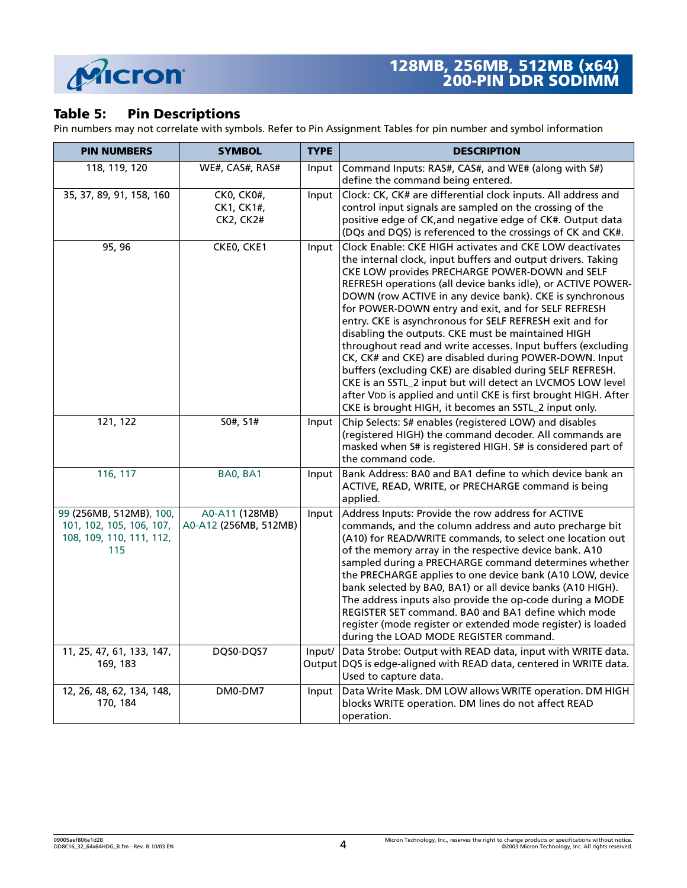

## **Table 5: Pin Descriptions**

Pin numbers may not correlate with symbols. Refer to Pin Assignment Tables for pin number and symbol information

| <b>PIN NUMBERS</b>                                                                     | <b>SYMBOL</b>                                | <b>TYPE</b> | <b>DESCRIPTION</b>                                                                                                                                                                                                                                                                                                                                                                                                                                                                                                                                                                                                                                                                                                                                                                                                                                               |
|----------------------------------------------------------------------------------------|----------------------------------------------|-------------|------------------------------------------------------------------------------------------------------------------------------------------------------------------------------------------------------------------------------------------------------------------------------------------------------------------------------------------------------------------------------------------------------------------------------------------------------------------------------------------------------------------------------------------------------------------------------------------------------------------------------------------------------------------------------------------------------------------------------------------------------------------------------------------------------------------------------------------------------------------|
| 118, 119, 120                                                                          | WE#, CAS#, RAS#                              | Input       | Command Inputs: RAS#, CAS#, and WE# (along with S#)<br>define the command being entered.                                                                                                                                                                                                                                                                                                                                                                                                                                                                                                                                                                                                                                                                                                                                                                         |
| 35, 37, 89, 91, 158, 160                                                               | CK0, CK0#,<br>CK1, CK1#,<br><b>CK2, CK2#</b> | Input       | Clock: CK, CK# are differential clock inputs. All address and<br>control input signals are sampled on the crossing of the<br>positive edge of CK, and negative edge of CK#. Output data<br>(DQs and DQS) is referenced to the crossings of CK and CK#.                                                                                                                                                                                                                                                                                                                                                                                                                                                                                                                                                                                                           |
| 95, 96                                                                                 | CKEO, CKE1                                   | Input       | Clock Enable: CKE HIGH activates and CKE LOW deactivates<br>the internal clock, input buffers and output drivers. Taking<br>CKE LOW provides PRECHARGE POWER-DOWN and SELF<br>REFRESH operations (all device banks idle), or ACTIVE POWER-<br>DOWN (row ACTIVE in any device bank). CKE is synchronous<br>for POWER-DOWN entry and exit, and for SELF REFRESH<br>entry. CKE is asynchronous for SELF REFRESH exit and for<br>disabling the outputs. CKE must be maintained HIGH<br>throughout read and write accesses. Input buffers (excluding<br>CK, CK# and CKE) are disabled during POWER-DOWN. Input<br>buffers (excluding CKE) are disabled during SELF REFRESH.<br>CKE is an SSTL_2 input but will detect an LVCMOS LOW level<br>after VDD is applied and until CKE is first brought HIGH. After<br>CKE is brought HIGH, it becomes an SSTL_2 input only. |
| 121, 122                                                                               | S0#, S1#                                     | Input       | Chip Selects: S# enables (registered LOW) and disables<br>(registered HIGH) the command decoder. All commands are<br>masked when S# is registered HIGH. S# is considered part of<br>the command code.                                                                                                                                                                                                                                                                                                                                                                                                                                                                                                                                                                                                                                                            |
| 116, 117                                                                               | BA0, BA1                                     | Input       | Bank Address: BA0 and BA1 define to which device bank an<br>ACTIVE, READ, WRITE, or PRECHARGE command is being<br>applied.                                                                                                                                                                                                                                                                                                                                                                                                                                                                                                                                                                                                                                                                                                                                       |
| 99 (256MB, 512MB), 100,<br>101, 102, 105, 106, 107,<br>108, 109, 110, 111, 112,<br>115 | A0-A11 (128MB)<br>A0-A12 (256MB, 512MB)      | Input       | Address Inputs: Provide the row address for ACTIVE<br>commands, and the column address and auto precharge bit<br>(A10) for READ/WRITE commands, to select one location out<br>of the memory array in the respective device bank. A10<br>sampled during a PRECHARGE command determines whether<br>the PRECHARGE applies to one device bank (A10 LOW, device<br>bank selected by BA0, BA1) or all device banks (A10 HIGH).<br>The address inputs also provide the op-code during a MODE<br>REGISTER SET command. BA0 and BA1 define which mode<br>register (mode register or extended mode register) is loaded<br>during the LOAD MODE REGISTER command.                                                                                                                                                                                                           |
| 11, 25, 47, 61, 133, 147,<br>169, 183                                                  | DQS0-DQS7                                    |             | Input/ Data Strobe: Output with READ data, input with WRITE data.<br>Output DQS is edge-aligned with READ data, centered in WRITE data.<br>Used to capture data.                                                                                                                                                                                                                                                                                                                                                                                                                                                                                                                                                                                                                                                                                                 |
| 12, 26, 48, 62, 134, 148,<br>170, 184                                                  | DM0-DM7                                      | Input       | Data Write Mask. DM LOW allows WRITE operation. DM HIGH<br>blocks WRITE operation. DM lines do not affect READ<br>operation.                                                                                                                                                                                                                                                                                                                                                                                                                                                                                                                                                                                                                                                                                                                                     |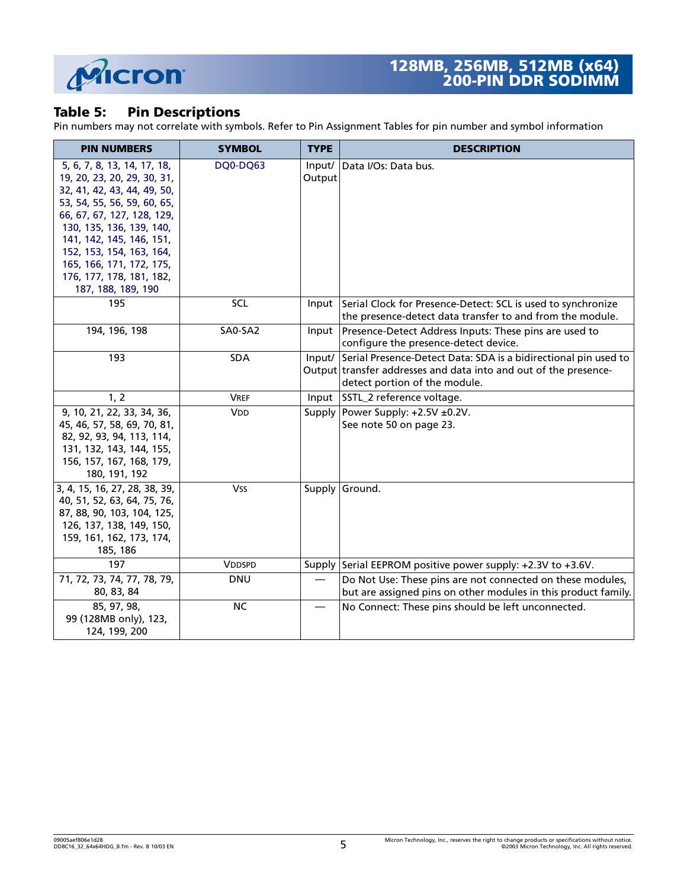

#### **Table 5: Pin Descriptions**

Pin numbers may not correlate with symbols. Refer to Pin Assignment Tables for pin number and symbol information

| <b>PIN NUMBERS</b>                                                                                                                                                                                                                                                                                                       | <b>SYMBOL</b> | <b>TYPE</b>      | <b>DESCRIPTION</b>                                                                                                                                                          |
|--------------------------------------------------------------------------------------------------------------------------------------------------------------------------------------------------------------------------------------------------------------------------------------------------------------------------|---------------|------------------|-----------------------------------------------------------------------------------------------------------------------------------------------------------------------------|
| 5, 6, 7, 8, 13, 14, 17, 18,<br>19, 20, 23, 20, 29, 30, 31,<br>32, 41, 42, 43, 44, 49, 50,<br>53, 54, 55, 56, 59, 60, 65,<br>66, 67, 67, 127, 128, 129,<br>130, 135, 136, 139, 140,<br>141, 142, 145, 146, 151,<br>152, 153, 154, 163, 164,<br>165, 166, 171, 172, 175,<br>176, 177, 178, 181, 182,<br>187, 188, 189, 190 | DQ0-DQ63      | Input/<br>Output | Data I/Os: Data bus.                                                                                                                                                        |
| 195                                                                                                                                                                                                                                                                                                                      | SCL           |                  | Input Serial Clock for Presence-Detect: SCL is used to synchronize<br>the presence-detect data transfer to and from the module.                                             |
| 194, 196, 198                                                                                                                                                                                                                                                                                                            | SA0-SA2       |                  | Input   Presence-Detect Address Inputs: These pins are used to<br>configure the presence-detect device.                                                                     |
| 193                                                                                                                                                                                                                                                                                                                      | <b>SDA</b>    |                  | Input/ Serial Presence-Detect Data: SDA is a bidirectional pin used to<br>Output transfer addresses and data into and out of the presence-<br>detect portion of the module. |
| 1, 2                                                                                                                                                                                                                                                                                                                     | <b>VREF</b>   |                  | Input SSTL_2 reference voltage.                                                                                                                                             |
| 9, 10, 21, 22, 33, 34, 36,<br>45, 46, 57, 58, 69, 70, 81,<br>82, 92, 93, 94, 113, 114,<br>131, 132, 143, 144, 155,<br>156, 157, 167, 168, 179,<br>180, 191, 192                                                                                                                                                          | <b>VDD</b>    | Supply           | Power Supply: +2.5V ±0.2V.<br>See note 50 on page 23.                                                                                                                       |
| 3, 4, 15, 16, 27, 28, 38, 39,<br>40, 51, 52, 63, 64, 75, 76,<br>87, 88, 90, 103, 104, 125,<br>126, 137, 138, 149, 150,<br>159, 161, 162, 173, 174,<br>185, 186                                                                                                                                                           | <b>Vss</b>    |                  | Supply Ground.                                                                                                                                                              |
| 197                                                                                                                                                                                                                                                                                                                      | <b>VDDSPD</b> |                  | Supply Serial EEPROM positive power supply: +2.3V to +3.6V.                                                                                                                 |
| 71, 72, 73, 74, 77, 78, 79,<br>80, 83, 84                                                                                                                                                                                                                                                                                | <b>DNU</b>    |                  | Do Not Use: These pins are not connected on these modules,<br>but are assigned pins on other modules in this product family.                                                |
| 85, 97, 98,<br>99 (128MB only), 123,<br>124, 199, 200                                                                                                                                                                                                                                                                    | <b>NC</b>     |                  | No Connect: These pins should be left unconnected.                                                                                                                          |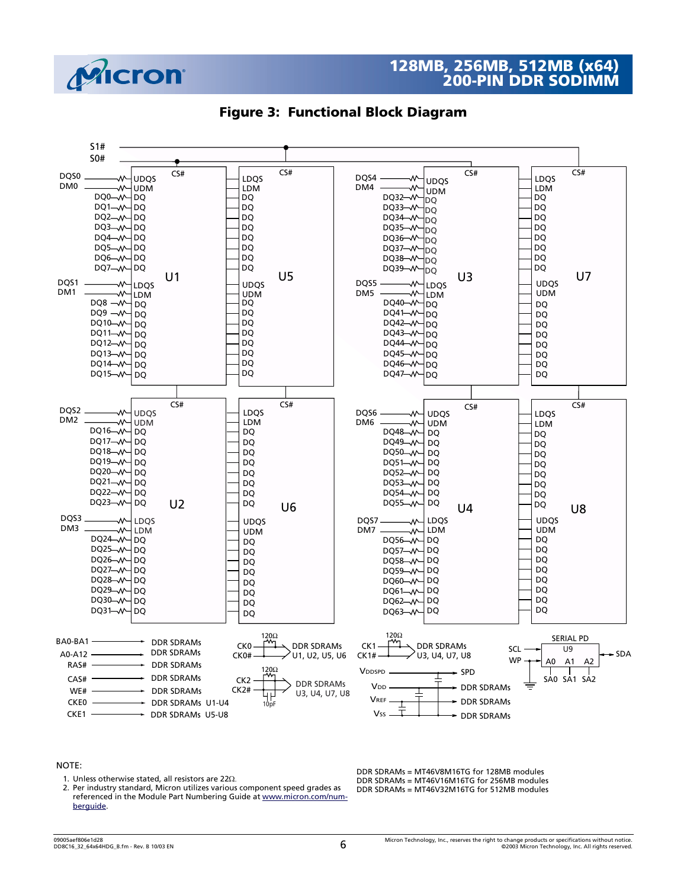





#### NOTE:

1. Unless otherwise stated, all resistors are 22 $\Omega$ .

 2. Per industry standard, Micron utilizes various component speed grades as referenced in the Module Part Numbering Guide a[t w](http://www.micron.com/numberguide)ww.micron.com/numberguide.

DDR SDRAMs = MT46V8M16TG for 128MB modules DDR SDRAMs = MT46V16M16TG for 256MB modules DDR SDRAMs = MT46V32M16TG for 512MB modules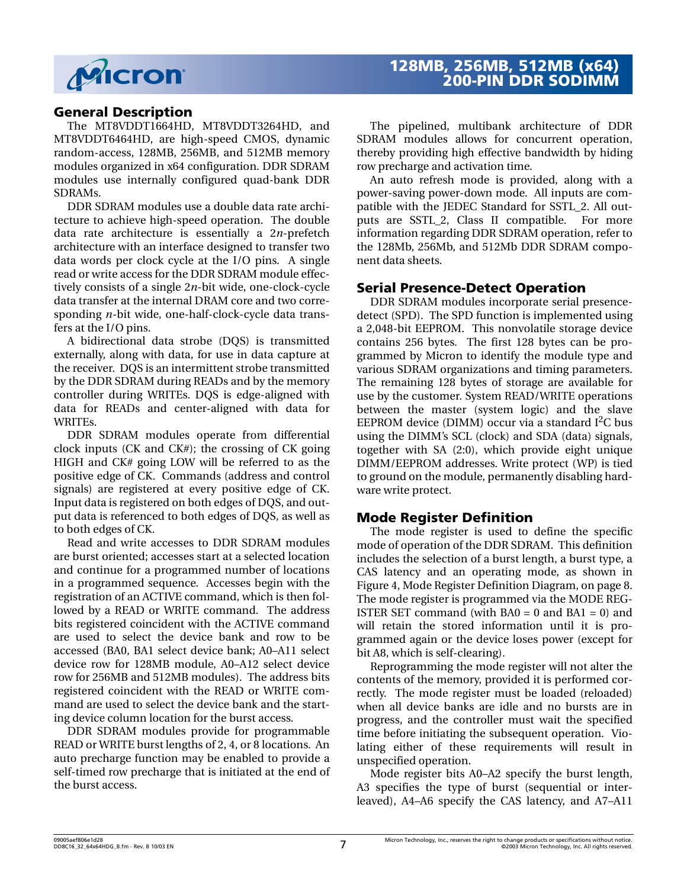

#### **General Description**

The MT8VDDT1664HD, MT8VDDT3264HD, and MT8VDDT6464HD, are high-speed CMOS, dynamic random-access, 128MB, 256MB, and 512MB memory modules organized in x64 configuration. DDR SDRAM modules use internally configured quad-bank DDR SDRAMs.

DDR SDRAM modules use a double data rate architecture to achieve high-speed operation. The double data rate architecture is essentially a 2*n*-prefetch architecture with an interface designed to transfer two data words per clock cycle at the I/O pins. A single read or write access for the DDR SDRAM module effectively consists of a single 2*n*-bit wide, one-clock-cycle data transfer at the internal DRAM core and two corresponding *n*-bit wide, one-half-clock-cycle data transfers at the I/O pins.

A bidirectional data strobe (DQS) is transmitted externally, along with data, for use in data capture at the receiver. DQS is an intermittent strobe transmitted by the DDR SDRAM during READs and by the memory controller during WRITEs. DQS is edge-aligned with data for READs and center-aligned with data for WRITEs.

DDR SDRAM modules operate from differential clock inputs (CK and CK#); the crossing of CK going HIGH and CK# going LOW will be referred to as the positive edge of CK. Commands (address and control signals) are registered at every positive edge of CK. Input data is registered on both edges of DQS, and output data is referenced to both edges of DQS, as well as to both edges of CK.

Read and write accesses to DDR SDRAM modules are burst oriented; accesses start at a selected location and continue for a programmed number of locations in a programmed sequence. Accesses begin with the registration of an ACTIVE command, which is then followed by a READ or WRITE command. The address bits registered coincident with the ACTIVE command are used to select the device bank and row to be accessed (BA0, BA1 select device bank; A0–A11 select device row for 128MB module, A0–A12 select device row for 256MB and 512MB modules). The address bits registered coincident with the READ or WRITE command are used to select the device bank and the starting device column location for the burst access.

DDR SDRAM modules provide for programmable READ or WRITE burst lengths of 2, 4, or 8 locations. An auto precharge function may be enabled to provide a self-timed row precharge that is initiated at the end of the burst access.

The pipelined, multibank architecture of DDR SDRAM modules allows for concurrent operation, thereby providing high effective bandwidth by hiding row precharge and activation time.

An auto refresh mode is provided, along with a power-saving power-down mode. All inputs are compatible with the JEDEC Standard for SSTL\_2. All outputs are SSTL\_2, Class II compatible. For more information regarding DDR SDRAM operation, refer to the 128Mb, 256Mb, and 512Mb DDR SDRAM component data sheets.

#### **Serial Presence-Detect Operation**

DDR SDRAM modules incorporate serial presencedetect (SPD). The SPD function is implemented using a 2,048-bit EEPROM. This nonvolatile storage device contains 256 bytes. The first 128 bytes can be programmed by Micron to identify the module type and various SDRAM organizations and timing parameters. The remaining 128 bytes of storage are available for use by the customer. System READ/WRITE operations between the master (system logic) and the slave EEPROM device (DIMM) occur via a standard  $I^2C$  bus using the DIMM's SCL (clock) and SDA (data) signals, together with SA (2:0), which provide eight unique DIMM/EEPROM addresses. Write protect (WP) is tied to ground on the module, permanently disabling hardware write protect.

#### **Mode Register Definition**

The mode register is used to define the specific mode of operation of the DDR SDRAM. This definition includes the selection of a burst length, a burst type, a CAS latency and an operating mode, as shown in [Figure 4, Mode Register Definition Diagram, on page 8](#page-7-0). The mode register is programmed via the MODE REG-ISTER SET command (with  $BA0 = 0$  and  $BA1 = 0$ ) and will retain the stored information until it is programmed again or the device loses power (except for bit A8, which is self-clearing).

Reprogramming the mode register will not alter the contents of the memory, provided it is performed correctly. The mode register must be loaded (reloaded) when all device banks are idle and no bursts are in progress, and the controller must wait the specified time before initiating the subsequent operation. Violating either of these requirements will result in unspecified operation.

Mode register bits A0–A2 specify the burst length, A3 specifies the type of burst (sequential or interleaved), A4–A6 specify the CAS latency, and A7–A11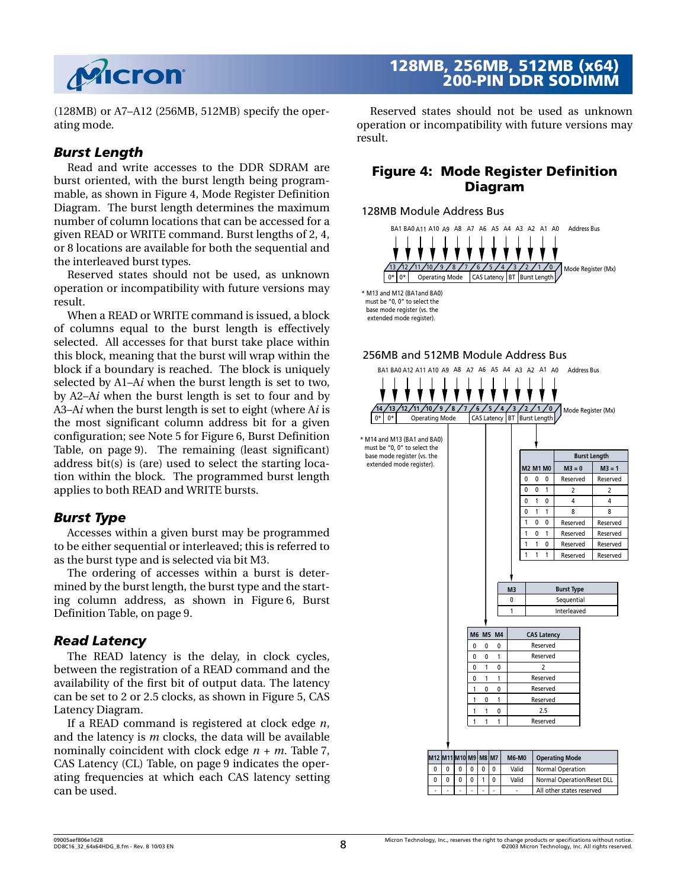

(128MB) or A7–A12 (256MB, 512MB) specify the operating mode.

#### *Burst Length*

Read and write accesses to the DDR SDRAM are burst oriented, with the burst length being programmable, as shown in [Figure 4, Mode Register Definition](#page-7-0) [Diagram](#page-7-0). The burst length determines the maximum number of column locations that can be accessed for a given READ or WRITE command. Burst lengths of 2, 4, or 8 locations are available for both the sequential and the interleaved burst types.

Reserved states should not be used, as unknown operation or incompatibility with future versions may result.

When a READ or WRITE command is issued, a block of columns equal to the burst length is effectively selected. All accesses for that burst take place within this block, meaning that the burst will wrap within the block if a boundary is reached. The block is uniquely selected by A1–A*i* when the burst length is set to two, by A2–A*i* when the burst length is set to four and by A3–A*i* when the burst length is set to eight (where A*i* is the most significant column address bit for a given configuration; see Note [5](#page-8-0) for [Figure 6, Burst Definition](#page-8-2) [Table, on page 9](#page-8-2)). The remaining (least significant) address bit(s) is (are) used to select the starting location within the block. The programmed burst length applies to both READ and WRITE bursts.

#### *Burst Type*

Accesses within a given burst may be programmed to be either sequential or interleaved; this is referred to as the burst type and is selected via bit M3.

The ordering of accesses within a burst is determined by the burst length, the burst type and the starting column address, as shown in [Figure 6, Burst](#page-8-2) [Definition Table, on page 9.](#page-8-2)

#### *Read Latency*

The READ latency is the delay, in clock cycles, between the registration of a READ command and the availability of the first bit of output data. The latency can be set to 2 or 2.5 clocks, as shown in [Figure 5, CAS](#page-8-1) [Latency Diagram](#page-8-1).

If a READ command is registered at clock edge *n*, and the latency is *m* clocks, the data will be available nominally coincident with clock edge *n + m*. [Table 7,](#page-8-3) [CAS Latency \(CL\) Table, on page 9](#page-8-3) indicates the operating frequencies at which each CAS latency setting can be used.

## **128MB, 256MB, 512MB (x64) 200-PIN DDR SODIMM**

Reserved states should not be used as unknown operation or incompatibility with future versions may result.

#### <span id="page-7-0"></span>**Figure 4: Mode Register Definition Diagram**





#### 256MB and 512MB Module Address Bus

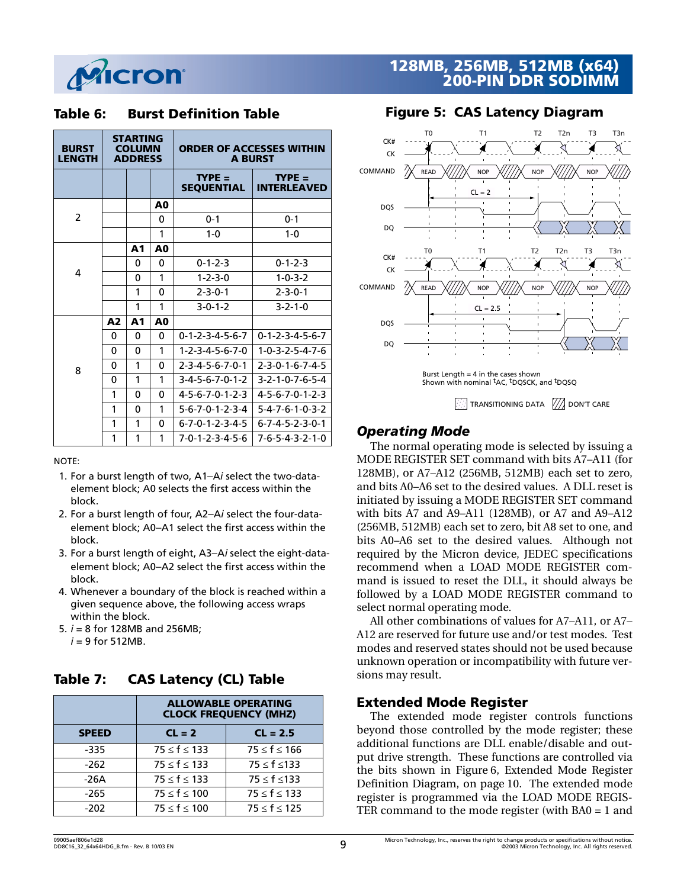

#### <span id="page-8-2"></span>**Table 6: Burst Definition Table**

| <b>BURST</b><br><b>LENGTH</b> |                | <b>STARTING</b><br><b>COLUMN</b><br><b>ADDRESS</b> |                | <b>ORDER OF ACCESSES WITHIN</b> | <b>A BURST</b>                  |
|-------------------------------|----------------|----------------------------------------------------|----------------|---------------------------------|---------------------------------|
|                               |                |                                                    |                | $TYPE =$<br><b>SEQUENTIAL</b>   | $TYPE =$<br><b>INTERLEAVED</b>  |
|                               |                |                                                    | A0             |                                 |                                 |
| $\overline{2}$                |                |                                                    | $\Omega$       | $0 - 1$                         | $0 - 1$                         |
|                               |                |                                                    | 1              | $1 - 0$                         | $1 - 0$                         |
|                               |                | A1                                                 | A0             |                                 |                                 |
| 4                             |                | 0                                                  | $\Omega$       | $0 - 1 - 2 - 3$                 | $0 - 1 - 2 - 3$                 |
|                               |                | 0                                                  | 1              | $1 - 2 - 3 - 0$                 | $1 - 0 - 3 - 2$                 |
|                               |                | 1                                                  | $\Omega$       | $2 - 3 - 0 - 1$                 | $2 - 3 - 0 - 1$                 |
|                               |                | 1                                                  | 1              | $3 - 0 - 1 - 2$                 | $3 - 2 - 1 - 0$                 |
|                               | A <sub>2</sub> | A1                                                 | A <sub>0</sub> |                                 |                                 |
|                               | 0              | 0                                                  | $\Omega$       | $0 - 1 - 2 - 3 - 4 - 5 - 6 - 7$ | $0 - 1 - 2 - 3 - 4 - 5 - 6 - 7$ |
|                               | 0              | 0                                                  | 1              | $1 - 2 - 3 - 4 - 5 - 6 - 7 - 0$ | $1 - 0 - 3 - 2 - 5 - 4 - 7 - 6$ |
| 8                             | 0              | 1                                                  | $\Omega$       | $2 - 3 - 4 - 5 - 6 - 7 - 0 - 1$ | $2 - 3 - 0 - 1 - 6 - 7 - 4 - 5$ |
|                               | 0              | 1                                                  | 1              | $3-4-5-6-7-0-1-2$               | $3 - 2 - 1 - 0 - 7 - 6 - 5 - 4$ |
|                               | 1              | 0                                                  | $\Omega$       | 4-5-6-7-0-1-2-3                 | $4 - 5 - 6 - 7 - 0 - 1 - 2 - 3$ |
|                               | 1              | 0                                                  | 1              | $5 - 6 - 7 - 0 - 1 - 2 - 3 - 4$ | $5 - 4 - 7 - 6 - 1 - 0 - 3 - 2$ |
|                               | 1              | 1                                                  | $\Omega$       | $6 - 7 - 0 - 1 - 2 - 3 - 4 - 5$ | $6 - 7 - 4 - 5 - 2 - 3 - 0 - 1$ |
|                               | 1              | 1                                                  | 1              | $7 - 0 - 1 - 2 - 3 - 4 - 5 - 6$ | 7-6-5-4-3-2-1-0                 |

NOTE:

- 1. For a burst length of two, A1–A*i* select the two-dataelement block; A0 selects the first access within the block.
- 2. For a burst length of four, A2–A*i* select the four-dataelement block; A0–A1 select the first access within the block.
- 3. For a burst length of eight, A3–A*i* select the eight-dataelement block; A0–A2 select the first access within the block.
- 4. Whenever a boundary of the block is reached within a given sequence above, the following access wraps within the block.
- <span id="page-8-0"></span>5. *i* = 8 for 128MB and 256MB;  $i = 9$  for 512MB.

## <span id="page-8-3"></span>**Table 7: CAS Latency (CL) Table**

|              | <b>ALLOWABLE OPERATING</b><br><b>CLOCK FREQUENCY (MHZ)</b> |                      |  |  |  |
|--------------|------------------------------------------------------------|----------------------|--|--|--|
| <b>SPEED</b> | $CL = 2$                                                   | $CL = 2.5$           |  |  |  |
| -335         | $75 \le f \le 133$                                         | $75 \leq f \leq 166$ |  |  |  |
| -262         | $75 \le f \le 133$                                         | $75 \leq f \leq 133$ |  |  |  |
| -26A         | $75 \le f \le 133$                                         | $75 \leq f \leq 133$ |  |  |  |
| -265         | $75 \leq f \leq 100$                                       | $75 \le f \le 133$   |  |  |  |
| $-202$       | $75 \le f \le 100$                                         | $75 \leq f \leq 125$ |  |  |  |

## **128MB, 256MB, 512MB (x64) 200-PIN DDR SODIMM**

<span id="page-8-1"></span>

#### *Operating Mode*

The normal operating mode is selected by issuing a MODE REGISTER SET command with bits A7–A11 (for 128MB), or A7–A12 (256MB, 512MB) each set to zero, and bits A0–A6 set to the desired values. A DLL reset is initiated by issuing a MODE REGISTER SET command with bits A7 and A9–A11 (128MB), or A7 and A9–A12 (256MB, 512MB) each set to zero, bit A8 set to one, and bits A0–A6 set to the desired values. Although not required by the Micron device, JEDEC specifications recommend when a LOAD MODE REGISTER command is issued to reset the DLL, it should always be followed by a LOAD MODE REGISTER command to select normal operating mode.

All other combinations of values for A7–A11, or A7– A12 are reserved for future use and/or test modes. Test modes and reserved states should not be used because unknown operation or incompatibility with future versions may result.

#### **Extended Mode Register**

The extended mode register controls functions beyond those controlled by the mode register; these additional functions are DLL enable/disable and output drive strength. These functions are controlled via the bits shown in [Figure 6, Extended Mode Register](#page-9-0) [Definition Diagram, on page 10.](#page-9-0) The extended mode register is programmed via the LOAD MODE REGIS-TER command to the mode register (with BA0 = 1 and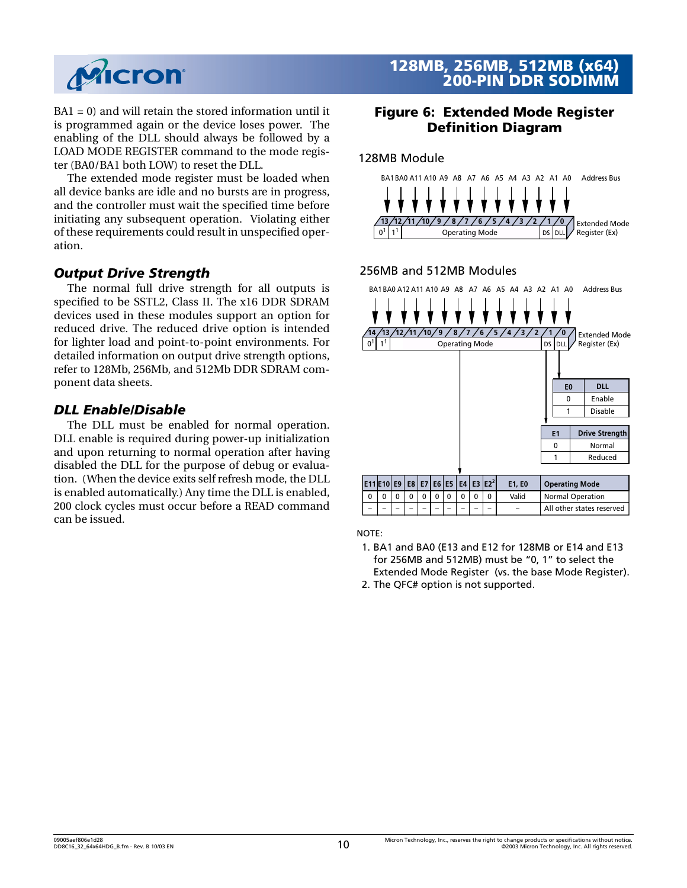

BA1 = 0) and will retain the stored information until it is programmed again or the device loses power. The enabling of the DLL should always be followed by a LOAD MODE REGISTER command to the mode register (BA0/BA1 both LOW) to reset the DLL.

The extended mode register must be loaded when all device banks are idle and no bursts are in progress, and the controller must wait the specified time before initiating any subsequent operation. Violating either of these requirements could result in unspecified operation.

#### *Output Drive Strength*

The normal full drive strength for all outputs is specified to be SSTL2, Class II. The x16 DDR SDRAM devices used in these modules support an option for reduced drive. The reduced drive option is intended for lighter load and point-to-point environments. For detailed information on output drive strength options, refer to 128Mb, 256Mb, and 512Mb DDR SDRAM component data sheets.

#### *DLL Enable/Disable*

The DLL must be enabled for normal operation. DLL enable is required during power-up initialization and upon returning to normal operation after having disabled the DLL for the purpose of debug or evaluation. (When the device exits self refresh mode, the DLL is enabled automatically.) Any time the DLL is enabled, 200 clock cycles must occur before a READ command can be issued.

## **128MB, 256MB, 512MB (x64) 200-PIN DDR SODIMM**

#### <span id="page-9-0"></span>**Figure 6: Extended Mode Register Definition Diagram**

#### 128MB Module



#### 256MB and 512MB Modules



NOTE:

- 1. BA1 and BA0 (E13 and E12 for 128MB or E14 and E13 for 256MB and 512MB) must be "0, 1" to select the Extended Mode Register (vs. the base Mode Register).
- 2. The QFC# option is not supported.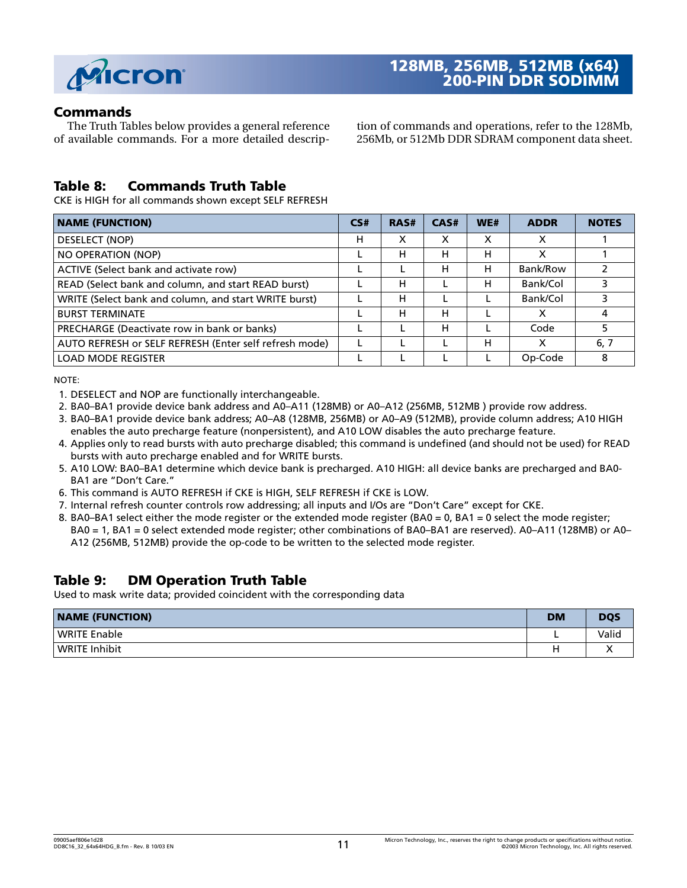

#### **Commands**

The Truth Tables below provides a general reference of available commands. For a more detailed description of commands and operations, refer to the 128Mb, 256Mb, or 512Mb DDR SDRAM component data sheet.

#### **Table 8: Commands Truth Table**

CKE is HIGH for all commands shown except SELF REFRESH

| <b>NAME (FUNCTION)</b>                                 | CS# | RAS# | CAS# | WE# | <b>ADDR</b> | <b>NOTES</b> |
|--------------------------------------------------------|-----|------|------|-----|-------------|--------------|
| DESELECT (NOP)                                         | н   | х    | x    | x   | x           |              |
| NO OPERATION (NOP)                                     |     | н    | н    | н   | x           |              |
| ACTIVE (Select bank and activate row)                  |     |      | н    | н   | Bank/Row    |              |
| READ (Select bank and column, and start READ burst)    |     | н    |      | н   | Bank/Col    |              |
| WRITE (Select bank and column, and start WRITE burst)  |     | н    |      |     | Bank/Col    |              |
| <b>BURST TERMINATE</b>                                 |     | н    | н    |     |             | 4            |
| PRECHARGE (Deactivate row in bank or banks)            |     |      | н    |     | Code        | 5            |
| AUTO REFRESH or SELF REFRESH (Enter self refresh mode) |     |      |      | н   | X           | 6, 7         |
| <b>LOAD MODE REGISTER</b>                              |     |      |      |     | Op-Code     | 8            |

NOTE:

- 1. DESELECT and NOP are functionally interchangeable.
- 2. BA0–BA1 provide device bank address and A0–A11 (128MB) or A0–A12 (256MB, 512MB ) provide row address.
- 3. BA0–BA1 provide device bank address; A0–A8 (128MB, 256MB) or A0–A9 (512MB), provide column address; A10 HIGH enables the auto precharge feature (nonpersistent), and A10 LOW disables the auto precharge feature.
- 4. Applies only to read bursts with auto precharge disabled; this command is undefined (and should not be used) for READ bursts with auto precharge enabled and for WRITE bursts.
- 5. A10 LOW: BA0–BA1 determine which device bank is precharged. A10 HIGH: all device banks are precharged and BA0- BA1 are "Don't Care."
- 6. This command is AUTO REFRESH if CKE is HIGH, SELF REFRESH if CKE is LOW.
- 7. Internal refresh counter controls row addressing; all inputs and I/Os are "Don't Care" except for CKE.
- 8. BA0–BA1 select either the mode register or the extended mode register (BA0 = 0, BA1 = 0 select the mode register; BA0 = 1, BA1 = 0 select extended mode register; other combinations of BA0–BA1 are reserved). A0–A11 (128MB) or A0– A12 (256MB, 512MB) provide the op-code to be written to the selected mode register.

#### **Table 9: DM Operation Truth Table**

Used to mask write data; provided coincident with the corresponding data

| <b>NAME (FUNCTION)</b> | <b>DM</b> | <b>DQS</b> |
|------------------------|-----------|------------|
| <b>WRITE Enable</b>    | -         | Valid      |
| WRITE Inhibit          |           |            |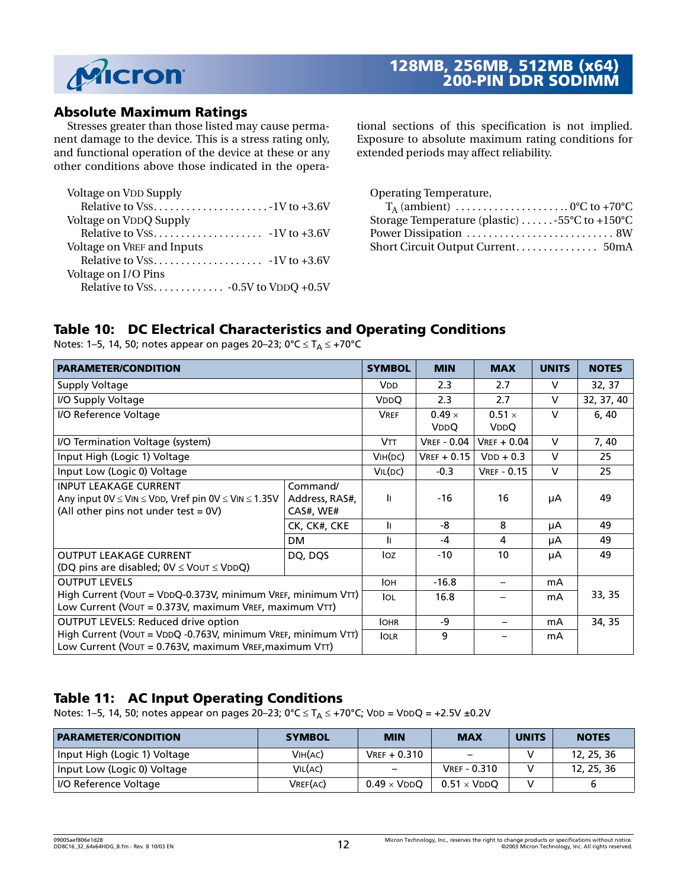

#### **Absolute Maximum Ratings**

Stresses greater than those listed may cause permanent damage to the device. This is a stress rating only, and functional operation of the device at these or any other conditions above those indicated in the opera-

| Voltage on VDD Supply      |  |
|----------------------------|--|
|                            |  |
| Voltage on VDDQ Supply     |  |
|                            |  |
| Voltage on VREF and Inputs |  |
|                            |  |
| Voltage on I/O Pins        |  |
|                            |  |

tional sections of this specification is not implied. Exposure to absolute maximum rating conditions for extended periods may affect reliability.

| Operating Temperature,                                      |  |
|-------------------------------------------------------------|--|
| $T_A$ (ambient)  0°C to +70°C                               |  |
| Storage Temperature (plastic) $\dots \dots$ -55°C to +150°C |  |
|                                                             |  |
|                                                             |  |

## **Table 10: DC Electrical Characteristics and Operating Conditions**

| <b>PARAMETER/CONDITION</b>                                                                                                     |                                         | <b>SYMBOL</b>         | <b>MIN</b>         | <b>MAX</b>            | <b>UNITS</b> | <b>NOTES</b> |
|--------------------------------------------------------------------------------------------------------------------------------|-----------------------------------------|-----------------------|--------------------|-----------------------|--------------|--------------|
| <b>Supply Voltage</b>                                                                                                          |                                         | <b>V<sub>DD</sub></b> | 2.3                | 2.7                   | $\vee$       | 32, 37       |
| I/O Supply Voltage                                                                                                             |                                         | <b>V<sub>D</sub>O</b> | 2.3                | 2.7                   | $\vee$       | 32, 37, 40   |
| I/O Reference Voltage                                                                                                          |                                         | <b>VREF</b>           | $0.49 \times$      | $0.51 \times$         | $\vee$       | 6, 40        |
|                                                                                                                                |                                         |                       | <b>VDDQ</b>        | <b>V<sub>DD</sub></b> |              |              |
| I/O Termination Voltage (system)                                                                                               |                                         | <b>VTT</b>            | <b>VREF - 0.04</b> | $V$ REF + 0.04        | $\vee$       | 7, 40        |
| Input High (Logic 1) Voltage                                                                                                   | V <sub>IH</sub> (DC)                    | $VREF + 0.15$         | $VDD + 0.3$        | $\vee$                | 25           |              |
| Input Low (Logic 0) Voltage                                                                                                    | VIL(DC)                                 | $-0.3$                | <b>VREF - 0.15</b> | $\vee$                | 25           |              |
| <b>INPUT LEAKAGE CURRENT</b><br>Any input 0V ≤ VIN ≤ VDD, Vref pin 0V ≤ VIN ≤ 1.35V<br>(All other pins not under test $= 0V$ ) | Command/<br>Address, RAS#,<br>CAS#, WE# | T.                    | $-16$              | 16                    | μA           | 49           |
|                                                                                                                                | CK, CK#, CKE                            | II.                   | -8                 | 8                     | μA           | 49           |
|                                                                                                                                | <b>DM</b>                               | <sup>1</sup>          | $-4$               | 4                     | μA           | 49           |
| <b>OUTPUT LEAKAGE CURRENT</b><br>(DQ pins are disabled; $0V \leq V$ OUT $\leq VDDQ$ )                                          | DQ, DQS                                 | Ioz                   | $-10$              | 10                    | μA           | 49           |
| <b>OUTPUT LEVELS</b>                                                                                                           |                                         | <b>IOH</b>            | $-16.8$            |                       | mA           |              |
| High Current (VOUT = VDDQ-0.373V, minimum VREF, minimum VTT)<br>Low Current (VOUT = 0.373V, maximum VREF, maximum VTT)         |                                         |                       | 16.8               |                       | mA           | 33, 35       |
| <b>OUTPUT LEVELS: Reduced drive option</b>                                                                                     |                                         | <b>IOHR</b>           | -9                 |                       | mA           | 34, 35       |
| High Current (VOUT = VDDQ -0.763V, minimum VREF, minimum VTT)<br>Low Current (VOUT = 0.763V, maximum VREF, maximum VTT)        |                                         | <b>IOLR</b>           | 9                  |                       | mA           |              |

Notes: [1](#page-19-0)[–5](#page-19-1), [14](#page-19-2), [50](#page-22-0); notes appear on pages [20](#page-19-0)–23; 0°C  $\leq$  T<sub>A</sub>  $\leq$  +70°C

## **Table 11: AC Input Operating Conditions**

Notes: [1](#page-19-0)[–5](#page-19-1), [14](#page-19-2), [50](#page-22-0); notes appear on pages [20](#page-19-0)–23; 0°C  $\leq T_A \leq +70$ °C; VDD = VDDQ = +2.5V ±0.2V

| <b>PARAMETER/CONDITION</b>   | <b>SYMBOL</b> | <b>MIN</b>                  | <b>MAX</b>               | <b>UNITS</b> | <b>NOTES</b> |
|------------------------------|---------------|-----------------------------|--------------------------|--------------|--------------|
| Input High (Logic 1) Voltage | VIH(AC)       | $V$ REF + 0.310             | $\overline{\phantom{m}}$ |              | 12, 25, 36   |
| Input Low (Logic 0) Voltage  | VIL(AC)       |                             | <b>VREF - 0.310</b>      |              | 12, 25, 36   |
| I/O Reference Voltage        | VREF(AC)      | $0.49 \times \mathrm{VDDO}$ | $0.51 \times VDDO$       |              |              |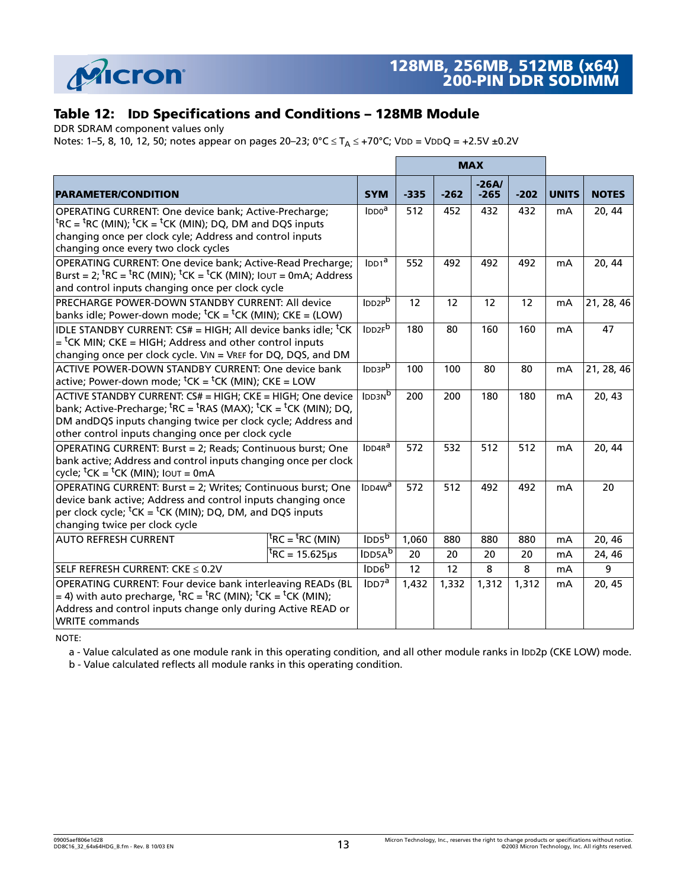

## **Table 12: IDD Specifications and Conditions – 128MB Module**

DDR SDRAM component values only

Notes: [1](#page-19-0)[–5](#page-19-1), [8](#page-19-9), [10](#page-19-10), [12](#page-19-5), [50](#page-22-0); notes appear on pages [20](#page-19-0)–23; 0°C  $\leq T_A \leq +70$ °C; VDD = VDDQ = +2.5V ±0.2V

|                                                                                                                                                                                                                                                                                                                |                       |        |        | <b>MAX</b>        |        |                |              |
|----------------------------------------------------------------------------------------------------------------------------------------------------------------------------------------------------------------------------------------------------------------------------------------------------------------|-----------------------|--------|--------|-------------------|--------|----------------|--------------|
| <b>PARAMETER/CONDITION</b>                                                                                                                                                                                                                                                                                     | <b>SYM</b>            | $-335$ | $-262$ | $-26A/$<br>$-265$ | $-202$ | <b>UNITS</b>   | <b>NOTES</b> |
| OPERATING CURRENT: One device bank; Active-Precharge;<br><sup>t</sup> RC = <sup>t</sup> RC (MIN); <sup>t</sup> CK = <sup>t</sup> CK (MIN); DQ, DM and DQS inputs<br>changing once per clock cyle; Address and control inputs<br>changing once every two clock cycles                                           | $IDD0^{\overline{a}}$ | 512    | 452    | 432               | 432    | mA             | 20, 44       |
| OPERATING CURRENT: One device bank; Active-Read Precharge;<br>Burst = 2; ${}^{\text{t}}$ RC = ${}^{\text{t}}$ RC (MIN); ${}^{\text{t}}$ CK = ${}^{\text{t}}$ CK (MIN); IOUT = 0mA; Address<br>and control inputs changing once per clock cycle                                                                 |                       | 552    | 492    | 492               | 492    | mA             | 20, 44       |
| PRECHARGE POWER-DOWN STANDBY CURRENT: All device<br>banks idle; Power-down mode; ${}^{\text{t}}$ CK = ${}^{\text{t}}$ CK (MIN); CKE = (LOW)                                                                                                                                                                    | IDD <sub>2P</sub> b   | 12     | 12     | 12                | 12     | m <sub>A</sub> | 21, 28, 46   |
| IDLE STANDBY CURRENT: CS# = HIGH; All device banks idle; <sup>t</sup> CK<br>$=$ <sup>t</sup> CK MIN; CKE = HIGH; Address and other control inputs<br>changing once per clock cycle. VIN = VREF for DQ, DQS, and DM                                                                                             | IDD <sub>2F</sub> b   | 180    | 80     | 160               | 160    | m <sub>A</sub> | 47           |
| ACTIVE POWER-DOWN STANDBY CURRENT: One device bank<br>active; Power-down mode; ${}^t$ CK = ${}^t$ CK (MIN); CKE = LOW                                                                                                                                                                                          |                       | 100    | 100    | 80                | 80     | m <sub>A</sub> | 21, 28, 46   |
| ACTIVE STANDBY CURRENT: CS# = HIGH; CKE = HIGH; One device<br>bank; Active-Precharge; ${}^{\text{t}}$ RC = ${}^{\text{t}}$ RAS (MAX); ${}^{\text{t}}$ CK = ${}^{\text{t}}$ CK (MIN); DQ,<br>DM andDQS inputs changing twice per clock cycle; Address and<br>other control inputs changing once per clock cycle | IDD3N <sup>b</sup>    | 200    | 200    | 180               | 180    | mA             | 20, 43       |
| OPERATING CURRENT: Burst = 2; Reads; Continuous burst; One<br>bank active; Address and control inputs changing once per clock<br>cycle; ${}^t$ CK = ${}^t$ CK (MIN); Iout = 0mA                                                                                                                                | IDDAR <sup>a</sup>    | 572    | 532    | 512               | 512    | mA             | 20, 44       |
| OPERATING CURRENT: Burst = 2; Writes; Continuous burst; One<br>device bank active; Address and control inputs changing once<br>per clock cycle; ${}^t$ CK = ${}^t$ CK (MIN); DQ, DM, and DQS inputs<br>changing twice per clock cycle                                                                          | IDD4W <sup>a</sup>    | 572    | 512    | 492               | 492    | mA             | 20           |
| ${}^{\text{t}}$ RC = ${}^{\text{t}}$ RC (MIN)<br><b>AUTO REFRESH CURRENT</b>                                                                                                                                                                                                                                   | IDD5 <sup>b</sup>     | 1,060  | 880    | 880               | 880    | m <sub>A</sub> | 20, 46       |
| $^{\rm t}$ RC = 15.625µs                                                                                                                                                                                                                                                                                       | IDD5A <sup>b</sup>    | 20     | 20     | 20                | 20     | mA             | 24, 46       |
| SELF REFRESH CURRENT: CKE ≤ 0.2V                                                                                                                                                                                                                                                                               | IDD6 <sup>b</sup>     | 12     | 12     | 8                 | 8      | mA             | 9            |
| OPERATING CURRENT: Four device bank interleaving READs (BL<br>= 4) with auto precharge, ${}^{\text{t}}$ RC = ${}^{\text{t}}$ RC (MIN); ${}^{\text{t}}$ CK = ${}^{\text{t}}$ CK (MIN);<br>Address and control inputs change only during Active READ or<br><b>WRITE commands</b>                                 |                       | 1,432  | 1,332  | 1,312             | 1,312  | mA             | 20, 45       |

NOTE:

a - Value calculated as one module rank in this operating condition, and all other module ranks in IDD2p (CKE LOW) mode.

b - Value calculated reflects all module ranks in this operating condition.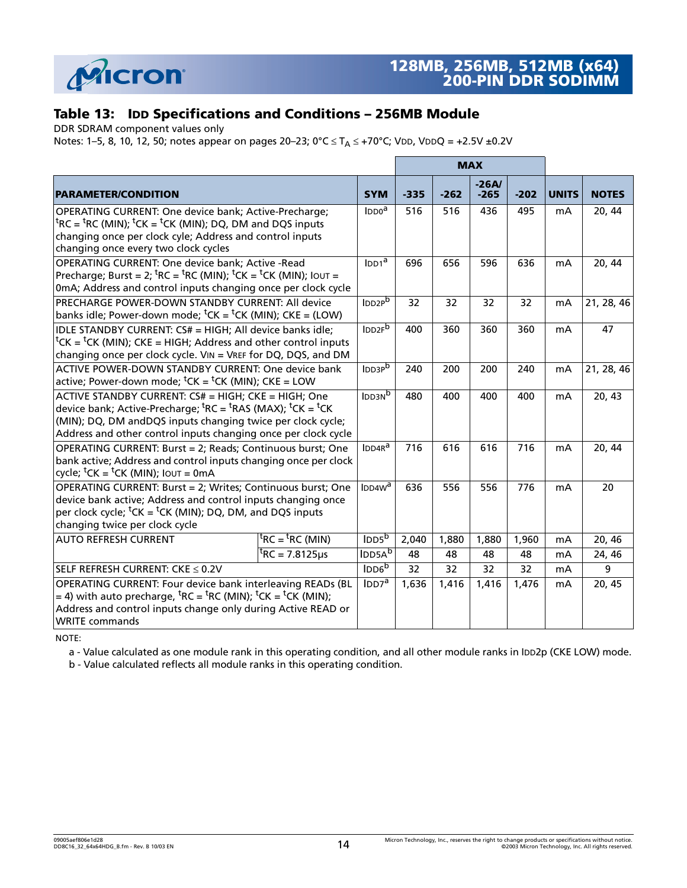

## **Table 13: IDD Specifications and Conditions – 256MB Module**

DDR SDRAM component values only

Notes: [1](#page-19-0)[–5](#page-19-1), [8](#page-19-9), [10](#page-19-10), [12](#page-19-5), [50](#page-22-0); notes appear on pages [20](#page-19-0)–23; 0°C  $\leq T_A \leq$  +70°C; V<mark>DD, VDDQ = +2.5V ±0.2V</mark>

|                                                                                                                                                                                                                                                                                                                |                                               |                                |        |        | <b>MAX</b>        |        |              |              |
|----------------------------------------------------------------------------------------------------------------------------------------------------------------------------------------------------------------------------------------------------------------------------------------------------------------|-----------------------------------------------|--------------------------------|--------|--------|-------------------|--------|--------------|--------------|
| <b>PARAMETER/CONDITION</b>                                                                                                                                                                                                                                                                                     |                                               | <b>SYM</b>                     | $-335$ | $-262$ | $-26A/$<br>$-265$ | $-202$ | <b>UNITS</b> | <b>NOTES</b> |
| OPERATING CURRENT: One device bank; Active-Precharge;<br><sup>t</sup> RC = <sup>t</sup> RC (MIN); <sup>t</sup> CK = <sup>t</sup> CK (MIN); DQ, DM and DQS inputs<br>changing once per clock cyle; Address and control inputs<br>changing once every two clock cycles                                           |                                               |                                | 516    | 516    | 436               | 495    | mA           | 20, 44       |
| <b>OPERATING CURRENT: One device bank; Active -Read</b><br>Precharge; Burst = 2; ${}^{\text{t}}$ RC = ${}^{\text{t}}$ RC (MIN); ${}^{\text{t}}$ CK = ${}^{\text{t}}$ CK (MIN); IOUT =<br>0mA; Address and control inputs changing once per clock cycle                                                         |                                               | $IDD1^a$<br>IDD2P <sup>b</sup> | 696    | 656    | 596               | 636    | mA           | 20, 44       |
| PRECHARGE POWER-DOWN STANDBY CURRENT: All device<br>banks idle; Power-down mode; ${}^{\text{t}}$ CK = ${}^{\text{t}}$ CK (MIN); CKE = (LOW)                                                                                                                                                                    |                                               |                                | 32     | 32     | 32                | 32     | mA           | 21, 28, 46   |
| IDLE STANDBY CURRENT: CS# = HIGH; All device banks idle;<br><sup>t</sup> CK = <sup>t</sup> CK (MIN); CKE = HIGH; Address and other control inputs<br>changing once per clock cycle. VIN = VREF for DQ, DQS, and DM                                                                                             |                                               | IDD2F <sup>b</sup>             | 400    | 360    | 360               | 360    | mA           | 47           |
| ACTIVE POWER-DOWN STANDBY CURRENT: One device bank<br>active; Power-down mode; ${}^tCK = {}^tCK$ (MIN); CKE = LOW                                                                                                                                                                                              |                                               | IDD3P <sub>b</sub>             | 240    | 200    | 200               | 240    | mA           | 21, 28, 46   |
| ACTIVE STANDBY CURRENT: CS# = HIGH; CKE = HIGH; One<br>device bank; Active-Precharge; ${}^{\text{t}}$ RC = ${}^{\text{t}}$ RAS (MAX); ${}^{\text{t}}$ CK = ${}^{\text{t}}$ CK<br>(MIN); DQ, DM andDQS inputs changing twice per clock cycle;<br>Address and other control inputs changing once per clock cycle |                                               | IDD3N <sub>D</sub>             | 480    | 400    | 400               | 400    | mA           | 20, 43       |
| OPERATING CURRENT: Burst = 2; Reads; Continuous burst; One<br>bank active; Address and control inputs changing once per clock<br>cycle; ${}^t$ CK = ${}^t$ CK (MIN); Iout = 0mA                                                                                                                                |                                               | IDD4R <sup>a</sup>             | 716    | 616    | 616               | 716    | mA           | 20, 44       |
| OPERATING CURRENT: Burst = 2; Writes; Continuous burst; One<br>device bank active; Address and control inputs changing once<br>per clock cycle; ${}^t$ CK = ${}^t$ CK (MIN); DQ, DM, and DQS inputs<br>changing twice per clock cycle                                                                          |                                               | IDDAW <sup>a</sup>             | 636    | 556    | 556               | 776    | mA           | 20           |
| <b>AUTO REFRESH CURRENT</b>                                                                                                                                                                                                                                                                                    | ${}^{\text{t}}$ RC = ${}^{\text{t}}$ RC (MIN) | IDD5 <sup>b</sup>              | 2,040  | 1,880  | 1,880             | 1,960  | mA           | 20, 46       |
|                                                                                                                                                                                                                                                                                                                | ${}^{\rm t}$ RC = 7.8125µs                    | IDD5A <sup>b</sup>             | 48     | 48     | 48                | 48     | mA           | 24, 46       |
| SELF REFRESH CURRENT: CKE < 0.2V                                                                                                                                                                                                                                                                               |                                               | IDD6 <sup>b</sup>              | 32     | 32     | 32                | 32     | mA           | 9            |
| OPERATING CURRENT: Four device bank interleaving READs (BL<br>= 4) with auto precharge, ${}^{\text{t}}$ RC = ${}^{\text{t}}$ RC (MIN); ${}^{\text{t}}$ CK = ${}^{\text{t}}$ CK (MIN);<br>Address and control inputs change only during Active READ or<br><b>WRITE</b> commands                                 |                                               | IDD7 <sup>a</sup>              | 1,636  | 1,416  | 1,416             | 1,476  | mA           | 20, 45       |

NOTE:

a - Value calculated as one module rank in this operating condition, and all other module ranks in IDD2p (CKE LOW) mode.

b - Value calculated reflects all module ranks in this operating condition.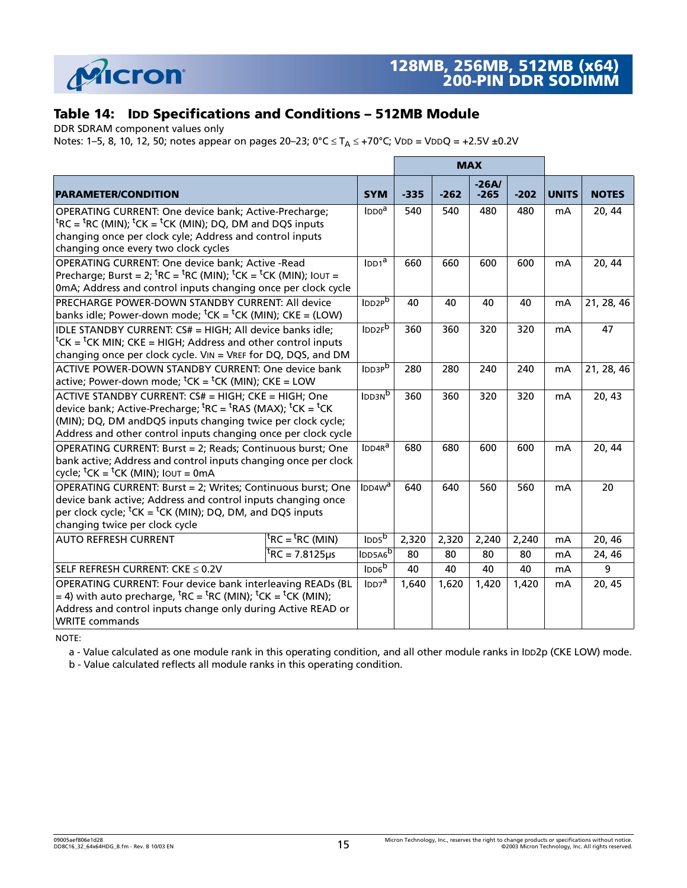

## **Table 14: IDD Specifications and Conditions – 512MB Module**

DDR SDRAM component values only

Notes: [1](#page-19-0)[–5](#page-19-1), [8](#page-19-9), [10](#page-19-10), [12](#page-19-5), [50](#page-22-0); notes appear on pages [20](#page-19-0)–23; 0°C  $\leq T_A \leq +70$ °C; VDD = VDDQ = +2.5V ±0.2V

|                                                                                                                                                                                                                                                                                                                |                                               |                      |        |        | <b>MAX</b>        |        |              |              |
|----------------------------------------------------------------------------------------------------------------------------------------------------------------------------------------------------------------------------------------------------------------------------------------------------------------|-----------------------------------------------|----------------------|--------|--------|-------------------|--------|--------------|--------------|
| <b>PARAMETER/CONDITION</b>                                                                                                                                                                                                                                                                                     |                                               | <b>SYM</b>           | $-335$ | $-262$ | $-26A/$<br>$-265$ | $-202$ | <b>UNITS</b> | <b>NOTES</b> |
| OPERATING CURRENT: One device bank; Active-Precharge;<br><sup>t</sup> RC = <sup>t</sup> RC (MIN); <sup>t</sup> CK = <sup>t</sup> CK (MIN); DQ, DM and DQS inputs<br>changing once per clock cyle; Address and control inputs<br>changing once every two clock cycles                                           |                                               |                      | 540    | 540    | 480               | 480    | mA           | 20, 44       |
| OPERATING CURRENT: One device bank; Active -Read<br>Precharge; Burst = 2; ${}^{\text{t}}$ RC = ${}^{\text{t}}$ RC (MIN); ${}^{\text{t}}$ CK = ${}^{\text{t}}$ CK (MIN); IOUT =<br>0mA; Address and control inputs changing once per clock cycle                                                                |                                               |                      | 660    | 660    | 600               | 600    | mA           | 20, 44       |
| <b>PRECHARGE POWER-DOWN STANDBY CURRENT: All device</b><br>banks idle; Power-down mode; ${}^{\text{t}}$ CK = ${}^{\text{t}}$ CK (MIN); CKE = (LOW)                                                                                                                                                             |                                               |                      | 40     | 40     | 40                | 40     | mA           | 21, 28, 46   |
| IDLE STANDBY CURRENT: CS# = HIGH; All device banks idle;<br><sup>t</sup> CK = <sup>t</sup> CK MIN; CKE = HIGH; Address and other control inputs<br>changing once per clock cycle. VIN = VREF for DQ, DQS, and DM                                                                                               |                                               | IDD2F <sup>b</sup>   | 360    | 360    | 320               | 320    | mA           | 47           |
| ACTIVE POWER-DOWN STANDBY CURRENT: One device bank<br>active; Power-down mode; ${}^tCK = {}^tCK$ (MIN); CKE = LOW                                                                                                                                                                                              |                                               | IDD3P <sub>b</sub>   | 280    | 280    | 240               | 240    | mA           | 21, 28, 46   |
| ACTIVE STANDBY CURRENT: CS# = HIGH; CKE = HIGH; One<br>device bank; Active-Precharge; ${}^{\text{t}}$ RC = ${}^{\text{t}}$ RAS (MAX); ${}^{\text{t}}$ CK = ${}^{\text{t}}$ CK<br>(MIN); DQ, DM andDQS inputs changing twice per clock cycle;<br>Address and other control inputs changing once per clock cycle |                                               | IDD3N <sup>b</sup>   | 360    | 360    | 320               | 320    | mA           | 20, 43       |
| OPERATING CURRENT: Burst = 2; Reads; Continuous burst; One<br>bank active; Address and control inputs changing once per clock<br>cycle; ${}^t$ CK = ${}^t$ CK (MIN); Iout = 0mA                                                                                                                                |                                               | $IDDAR^a$            | 680    | 680    | 600               | 600    | mA           | 20, 44       |
| OPERATING CURRENT: Burst = 2; Writes; Continuous burst; One<br>device bank active; Address and control inputs changing once<br>per clock cycle; ${}^t$ CK = ${}^t$ CK (MIN); DQ, DM, and DQS inputs<br>changing twice per clock cycle                                                                          |                                               | $IDD4W^a$            | 640    | 640    | 560               | 560    | mA           | 20           |
| <b>AUTO REFRESH CURRENT</b>                                                                                                                                                                                                                                                                                    | ${}^{\text{t}}$ RC = ${}^{\text{t}}$ RC (MIN) | $I$ <sub>DD5</sub> b | 2,320  | 2,320  | 2,240             | 2,240  | mA           | 20, 46       |
|                                                                                                                                                                                                                                                                                                                | ${}^{\text{t}}$ RC = 7.8125µs                 | IDD5A6 <sup>b</sup>  | 80     | 80     | 80                | 80     | mA           | 24, 46       |
| SELF REFRESH CURRENT: CKE < 0.2V                                                                                                                                                                                                                                                                               |                                               | IDD6 <sup>b</sup>    | 40     | 40     | 40                | 40     | mA           | 9            |
| OPERATING CURRENT: Four device bank interleaving READs (BL<br>= 4) with auto precharge, ${}^{\text{t}}$ RC = ${}^{\text{t}}$ RC (MIN); ${}^{\text{t}}$ CK = ${}^{\text{t}}$ CK (MIN);<br>Address and control inputs change only during Active READ or<br><b>WRITE commands</b>                                 |                                               | $\text{IDD7}^a$      | 1,640  | 1,620  | 1,420             | 1,420  | mA           | 20, 45       |

NOTE:

a - Value calculated as one module rank in this operating condition, and all other module ranks in IDD2p (CKE LOW) mode.

b - Value calculated reflects all module ranks in this operating condition.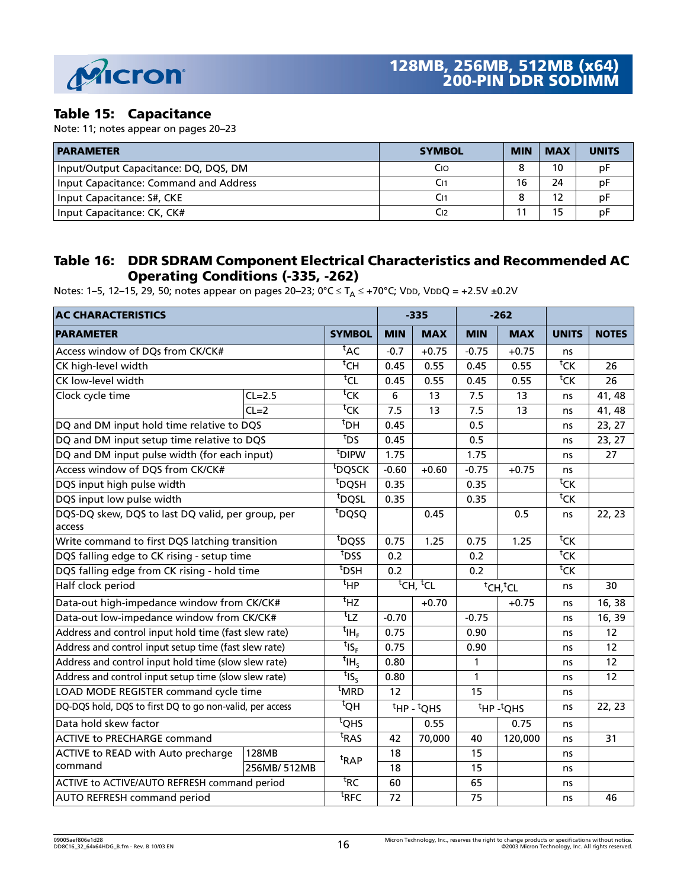

#### **Table 15: Capacitance**

Note: [11](#page-19-12); notes appear on pages [20](#page-19-0)–23

| <b>PARAMETER</b>                       | <b>SYMBOL</b> | <b>MIN</b> | <b>MAX</b> | <b>UNITS</b> |
|----------------------------------------|---------------|------------|------------|--------------|
| Input/Output Capacitance: DQ, DQS, DM  | Cio           |            | 10         | рF           |
| Input Capacitance: Command and Address |               | 16         | 24         | рF           |
| Input Capacitance: S#, CKE             |               |            |            | pŀ           |
| Input Capacitance: CK, CK#             | Cı2           |            |            | рF           |

#### **Table 16: DDR SDRAM Component Electrical Characteristics and Recommended AC Operating Conditions (-335, -262)**

Notes: [1](#page-19-0)[–5](#page-19-1), [12](#page-19-5)–[15,](#page-19-13) [29,](#page-20-7) [50;](#page-22-0) notes appear on pages [20–](#page-19-0)23; 0°C  $\leq$  T<sub>A</sub>  $\leq$  +70°C; V<mark>DD, VDDQ = +2.5V ±0.2V</mark>

| <b>AC CHARACTERISTICS</b>                                |             |                                          | $-335$                           |                        |                                  | $-262$                            |                    |              |
|----------------------------------------------------------|-------------|------------------------------------------|----------------------------------|------------------------|----------------------------------|-----------------------------------|--------------------|--------------|
| <b>PARAMETER</b>                                         |             | <b>SYMBOL</b>                            | <b>MIN</b>                       | <b>MAX</b>             | <b>MIN</b>                       | <b>MAX</b>                        | <b>UNITS</b>       | <b>NOTES</b> |
| Access window of DQs from CK/CK#                         |             | ${}^{\text{t}}$ AC                       | $-0.7$                           | $+0.75$                | $-0.75$                          | $+0.75$                           | ns                 |              |
| CK high-level width                                      |             | $^{\rm t}$ CH                            | 0.45                             | 0.55                   | 0.45                             | 0.55                              | ${}^{\sf t}$ CK    | 26           |
| CK low-level width                                       |             | ${^t}$ CL                                | 0.45                             | 0.55                   | 0.45                             | 0.55                              | $\overline{C}$     | 26           |
| Clock cycle time                                         | $CL=2.5$    | ${}^{\sf t}$ CK                          | 6                                | 13                     | 7.5                              | 13                                | ns                 | 41, 48       |
|                                                          | $CL=2$      | ${}^{\sf t}$ CK                          | 7.5                              | 13                     | 7.5                              | 13                                | ns                 | 41, 48       |
| DQ and DM input hold time relative to DQS                |             | $t_{\text{DH}}$                          | 0.45                             |                        | 0.5                              |                                   | ns                 | 23, 27       |
| DQ and DM input setup time relative to DQS               |             | $t_{DS}$                                 | 0.45                             |                        | 0.5                              |                                   | ns                 | 23, 27       |
| DQ and DM input pulse width (for each input)             |             | t <sub>DIPW</sub>                        | 1.75                             |                        | 1.75                             |                                   | ns                 | 27           |
| Access window of DQS from CK/CK#                         |             | <sup>t</sup> DQSCK                       | $-0.60$                          | $+0.60$                | $-0.75$                          | $+0.75$                           | ns                 |              |
| DQS input high pulse width                               |             | <sup>t</sup> DQSH                        | 0.35                             |                        | 0.35                             |                                   | ${}^{\sf t}$ CK    |              |
| DQS input low pulse width                                |             | t <sub>DQSL</sub>                        | 0.35                             |                        | 0.35                             |                                   | ${}^{\sf t}$ CK    |              |
| DQS-DQ skew, DQS to last DQ valid, per group, per        |             | t <sub>DQSQ</sub>                        |                                  | 0.45                   |                                  | 0.5                               | ns                 | 22, 23       |
| access                                                   |             |                                          |                                  |                        |                                  |                                   |                    |              |
| Write command to first DQS latching transition           |             | t <sub>DQSS</sub>                        | 0.75                             | 1.25                   | 0.75                             | 1.25                              | ${}^{\sf t}$ CK    |              |
| DQS falling edge to CK rising - setup time               |             | $\overline{t}$ DSS                       | 0.2                              |                        | 0.2                              |                                   | ${}^{\text{t}}$ CK |              |
| DQS falling edge from CK rising - hold time              |             | <sup>t</sup> DSH                         | 0.2                              |                        | 0.2                              |                                   | ${}^{\sf t}$ CK    |              |
| Half clock period                                        |             | $t$ HP                                   | <sup>t</sup> CH, <sup>t</sup> CL |                        | <sup>t</sup> CH, <sup>t</sup> CL |                                   | ns                 | 30           |
| Data-out high-impedance window from CK/CK#               |             | $\overline{t}_{HZ}$                      |                                  | $+0.70$                |                                  | $+0.75$                           | ns                 | 16, 38       |
| Data-out low-impedance window from CK/CK#                |             | $t_{LZ}$                                 | $-0.70$                          |                        | $-0.75$                          |                                   | ns                 | 16, 39       |
| Address and control input hold time (fast slew rate)     |             | $^{\mathsf{t}}$ IH <sub>F</sub>          | 0.75                             |                        | 0.90                             |                                   | ns                 | 12           |
| Address and control input setup time (fast slew rate)    |             | ${}^{\text{t}}$ IS <sub>F</sub>          | 0.75                             |                        | 0.90                             |                                   | ns                 | 12           |
| Address and control input hold time (slow slew rate)     |             | $t_{\text{IH}_\text{S}}$                 | 0.80                             |                        | 1                                |                                   | ns                 | 12           |
| Address and control input setup time (slow slew rate)    |             | $\overline{t}$ <sub>IS<sub>S</sub></sub> | 0.80                             |                        | 1                                |                                   | ns                 | 12           |
| LOAD MODE REGISTER command cycle time                    |             | <sup>t</sup> MRD                         | 12                               |                        | 15                               |                                   | ns                 |              |
| DQ-DQS hold, DQS to first DQ to go non-valid, per access |             | $H\overline{Q}$                          |                                  | ${}^t$ HP - ${}^t$ QHS |                                  | <sup>t</sup> HP- <sup>t</sup> QHS | ns                 | 22, 23       |
| Data hold skew factor                                    |             | $t$ QHS                                  |                                  | 0.55                   |                                  | 0.75                              | ns                 |              |
| <b>ACTIVE to PRECHARGE command</b>                       |             | $\overline{RAS}$                         | 42                               | 70,000                 | 40                               | 120,000                           | ns                 | 31           |
| ACTIVE to READ with Auto precharge                       | 128MB       | <sup>t</sup> RAP                         | 18                               |                        | 15                               |                                   | ns                 |              |
| command                                                  | 256MB/512MB |                                          | 18                               |                        | 15                               |                                   | ns                 |              |
| ACTIVE to ACTIVE/AUTO REFRESH command period             |             | ${}^{\text{t}}$ RC                       | 60                               |                        | 65                               |                                   | ns                 |              |
| <b>AUTO REFRESH command period</b>                       |             | $t$ RFC                                  | 72                               |                        | 75                               |                                   | ns                 | 46           |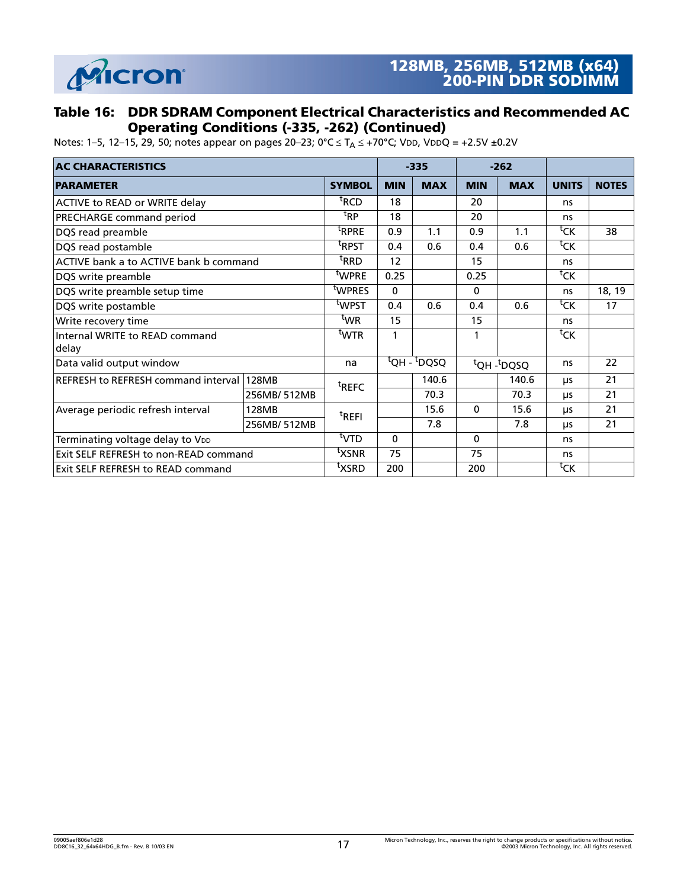

#### **Table 16: DDR SDRAM Component Electrical Characteristics and Recommended AC Operating Conditions (-335, -262) (Continued)**

Notes: 1–5, 12–15, 29, 50; notes appear on pages 20–23; 0°C  $\leq T_A \leq$  +70°C; VDD, VDDQ = +2.5V ±0.2V

| <b>AC CHARACTERISTICS</b>                  |              |                   | $-335$      |                                      | $-262$     |            |                    |              |
|--------------------------------------------|--------------|-------------------|-------------|--------------------------------------|------------|------------|--------------------|--------------|
| <b>PARAMETER</b>                           |              | <b>SYMBOL</b>     | <b>MIN</b>  | <b>MAX</b>                           | <b>MIN</b> | <b>MAX</b> | <b>UNITS</b>       | <b>NOTES</b> |
| ACTIVE to READ or WRITE delay              |              | <sup>t</sup> RCD  | 18          |                                      | 20         |            | ns                 |              |
| PRECHARGE command period                   |              | <sup>t</sup> RP   | 18          |                                      | 20         |            | ns                 |              |
| DQS read preamble                          |              | <sup>t</sup> RPRE | 0.9         | 1.1                                  | 0.9        | 1.1        | ${}^{\text{t}}$ CK | 38           |
| DQS read postamble                         |              | <sup>t</sup> RPST | 0.4         | 0.6                                  | 0.4        | 0.6        | ${}^{\sf t}$ CK    |              |
| ACTIVE bank a to ACTIVE bank b command     |              | <sup>t</sup> RRD  | 12          |                                      | 15         |            | ns                 |              |
| DQS write preamble                         |              | <sup>t</sup> WPRE | 0.25        |                                      | 0.25       |            | ${}^{\text{t}}$ CK |              |
| DQS write preamble setup time              |              | twpres            | $\mathbf 0$ |                                      | 0          |            | ns                 | 18, 19       |
| DQS write postamble                        |              | t <sub>WPST</sub> | 0.4         | 0.6                                  | 0.4        | 0.6        | ${}^{\sf t}$ CK    | 17           |
| Write recovery time                        |              | twr               | 15          |                                      | 15         |            | ns                 |              |
| Internal WRITE to READ command<br>delay    |              | <sup>t</sup> WTR  | 1           |                                      | 1          |            | ${}^{\sf t}$ CK    |              |
| Data valid output window                   |              | na                |             | $\overline{Q}$ H - <sup>t</sup> DQSQ |            | tQH-tDQSQ  | ns                 | 22           |
| <b>REFRESH to REFRESH command interval</b> | <b>128MB</b> | <sup>t</sup> REFC |             | 140.6                                |            | 140.6      | μs                 | 21           |
|                                            | 256MB/512MB  |                   |             | 70.3                                 |            | 70.3       | μs                 | 21           |
| Average periodic refresh interval          | 128MB        | <sup>t</sup> REFI |             | 15.6                                 | $\Omega$   | 15.6       | μs                 | 21           |
|                                            | 256MB/512MB  |                   |             | 7.8                                  |            | 7.8        | μs                 | 21           |
| Terminating voltage delay to VDD           |              | <sup>t</sup> VTD  | 0           |                                      | 0          |            | ns                 |              |
| Exit SELF REFRESH to non-READ command      |              | <sup>t</sup> XSNR | 75          |                                      | 75         |            | ns                 |              |
| Exit SELF REFRESH to READ command          |              | <sup>t</sup> XSRD | 200         |                                      | 200        |            | ${}^{\text{t}}$ CK |              |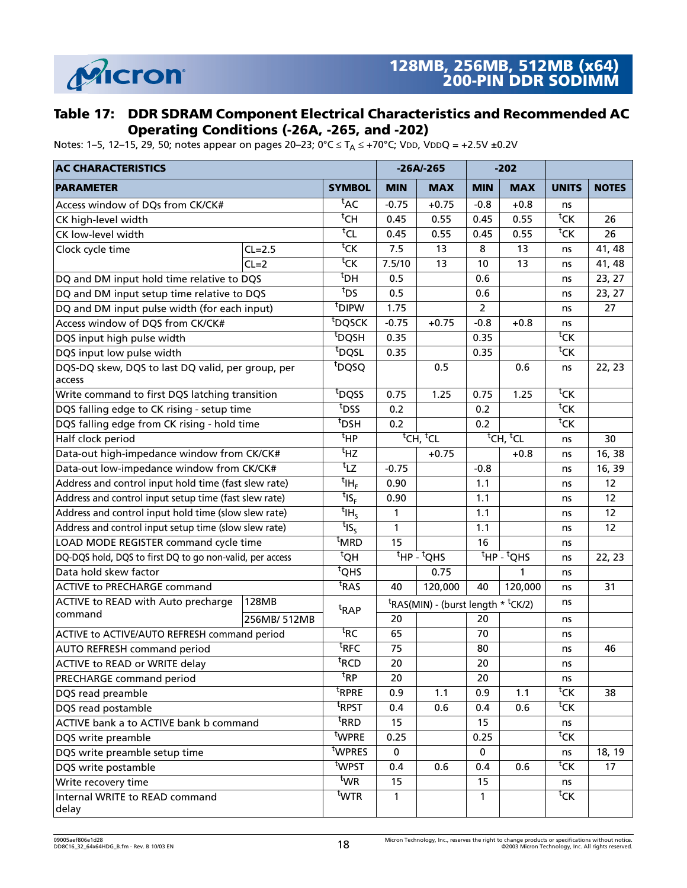

#### **Table 17: DDR SDRAM Component Electrical Characteristics and Recommended AC Operating Conditions (-26A, -265, and -202)**

Notes: [1](#page-19-0)[–5](#page-19-1), [12](#page-19-5)–[15,](#page-19-13) [29,](#page-20-7) [50;](#page-22-0) notes appear on pages [20–](#page-19-0)23; 0°C  $\leq$  T<sub>A</sub>  $\leq$  +70°C; V<mark>DD, VDDQ = +2.5V ±0.2V</mark>

| <b>AC CHARACTERISTICS</b>                                   |             |                                                      |                                  | $-26A/-265$                                                |                                  | $-202$     |                              |              |
|-------------------------------------------------------------|-------------|------------------------------------------------------|----------------------------------|------------------------------------------------------------|----------------------------------|------------|------------------------------|--------------|
| <b>PARAMETER</b>                                            |             | <b>SYMBOL</b>                                        | <b>MIN</b>                       | <b>MAX</b>                                                 | <b>MIN</b>                       | <b>MAX</b> | <b>UNITS</b>                 | <b>NOTES</b> |
| Access window of DQs from CK/CK#                            |             | $t_{AC}$                                             | $-0.75$                          | $+0.75$                                                    | $-0.8$                           | $+0.8$     | ns                           |              |
| CK high-level width                                         |             | $\overline{\overline{\text{c}}\text{H}}$             | 0.45                             | 0.55                                                       | 0.45                             | 0.55       | $\overline{C}$               | 26           |
| CK low-level width                                          |             | $t_{\text{CL}}$                                      | 0.45                             | 0.55                                                       | 0.45                             | 0.55       | <sup>t</sup> CK              | 26           |
| Clock cycle time                                            | $CL=2.5$    | $\overline{c}$                                       | 7.5                              | 13                                                         | 8                                | 13         | ns                           | 41, 48       |
|                                                             | $CL=2$      | $\overline{\textsf{c}}$ K                            | 7.5/10                           | 13                                                         | 10                               | 13         | ns                           | 41, 48       |
| DQ and DM input hold time relative to DQS                   |             | <sup>t</sup> DH                                      | 0.5                              |                                                            | 0.6                              |            | ns                           | 23, 27       |
| DQ and DM input setup time relative to DQS                  |             | <sup>t</sup> DS                                      | 0.5                              |                                                            | 0.6                              |            | ns                           | 23, 27       |
| DQ and DM input pulse width (for each input)                |             | t <sub>DIPW</sub>                                    | 1.75                             |                                                            | $\overline{2}$                   |            | ns                           | 27           |
| Access window of DQS from CK/CK#                            |             | <sup>t</sup> DQSCK                                   | $-0.75$                          | $+0.75$                                                    | $-0.8$                           | $+0.8$     | ns                           |              |
| DQS input high pulse width                                  |             | $t_{\overline{DQSH}}$                                | 0.35                             |                                                            | 0.35                             |            | ${}^{\sf t}$ CK              |              |
| DQS input low pulse width                                   |             | <sup>t</sup> DQSL                                    | 0.35                             |                                                            | 0.35                             |            | $\overline{c}$               |              |
| DQS-DQ skew, DQS to last DQ valid, per group, per<br>access |             | t <sub>DQSQ</sub>                                    |                                  | 0.5                                                        |                                  | 0.6        | ns                           | 22, 23       |
| Write command to first DQS latching transition              |             | t <sub>DQSS</sub>                                    | 0.75                             | 1.25                                                       | 0.75                             | 1.25       | ${}^{\text{t}}$ CK           |              |
| DQS falling edge to CK rising - setup time                  |             | t <sub>DSS</sub>                                     | 0.2                              |                                                            | 0.2                              |            | ${}^{\sf t}$ CK              |              |
| DQS falling edge from CK rising - hold time                 |             | <sup>t</sup> DSH                                     | 0.2                              |                                                            | 0.2                              |            | $\overline{C}$               |              |
| Half clock period                                           |             | $t_{\text{HP}}$                                      | <sup>t</sup> CH, <sup>t</sup> CL |                                                            | <sup>t</sup> CH, <sup>t</sup> CL |            | ns                           | 30           |
| Data-out high-impedance window from CK/CK#                  |             | $t_{\text{HZ}}$                                      |                                  | $+0.75$                                                    |                                  | $+0.8$     | ns                           | 16, 38       |
| Data-out low-impedance window from CK/CK#                   |             | $t_{\text{LZ}}$                                      | $-0.75$                          |                                                            | $-0.8$                           |            | ns                           | 16, 39       |
| Address and control input hold time (fast slew rate)        |             | $^{\mathsf{t}}$ IH $_{\scriptscriptstyle\mathrm{F}}$ | 0.90                             |                                                            | 1.1                              |            | ns                           | 12           |
| Address and control input setup time (fast slew rate)       |             | $t_{\text{IS}_{\text{F}}}$                           | 0.90                             |                                                            | 1.1                              |            | ns                           | 12           |
| Address and control input hold time (slow slew rate)        |             | $t_{\text{IH}_5}$                                    | 1                                |                                                            | 1.1                              |            | ns                           | 12           |
| Address and control input setup time (slow slew rate)       |             | $t_{\mathsf{IS}_\mathsf{S}}$                         | $\mathbf{1}$                     |                                                            | 1.1                              |            | ns                           | 12           |
| LOAD MODE REGISTER command cycle time                       |             | <sup>t</sup> MRD                                     | 15                               |                                                            | 16                               |            | ns                           |              |
| DQ-DQS hold, DQS to first DQ to go non-valid, per access    |             | $^{\rm t}$ QH                                        |                                  | $t_{\text{HP}}$ - $t_{\text{QHS}}$                         | $H$ P -<br>$t$ QHS               |            | ns                           | 22, 23       |
| Data hold skew factor                                       |             | $\overline{^tQHS}$                                   |                                  | 0.75                                                       |                                  | 1          | ns                           |              |
| <b>ACTIVE to PRECHARGE command</b>                          |             | <sup>t</sup> RAS                                     | 40                               | 120,000                                                    | 40                               | 120,000    | ns                           | 31           |
| ACTIVE to READ with Auto precharge                          | 128MB       | <sup>t</sup> RAP                                     |                                  | <sup>t</sup> RAS(MIN) - (burst length * <sup>t</sup> CK/2) |                                  |            | ns                           |              |
| command                                                     | 256MB/512MB |                                                      | 20                               |                                                            | 20                               |            | ns                           |              |
| ACTIVE to ACTIVE/AUTO REFRESH command period                |             | ${}^{\text{t}}$ RC                                   | 65                               |                                                            | 70                               |            | ns                           |              |
| <b>AUTO REFRESH command period</b>                          |             | $t$ RFC                                              | 75                               |                                                            | 80                               |            | ns                           | 46           |
| ACTIVE to READ or WRITE delay                               |             | ${}^{\text{t}}$ RCD                                  | 20                               |                                                            | 20                               |            | ns                           |              |
| PRECHARGE command period                                    |             | <sup>t</sup> RP                                      | 20                               |                                                            | 20                               |            | ns                           |              |
| DQS read preamble                                           |             | <sup>t</sup> RPRE                                    | 0.9                              | 1.1                                                        | 0.9                              | 1.1        | $\overline{\textsf{c}}$ K    | 38           |
| DQS read postamble                                          |             | <sup>t</sup> RPST                                    | 0.4                              | 0.6                                                        | 0.4                              | 0.6        | $\overline{t_{\mathsf{CK}}}$ |              |
| ACTIVE bank a to ACTIVE bank b command                      |             | <sup>t</sup> RRD                                     | 15                               |                                                            | 15                               |            | ns                           |              |
| DQS write preamble                                          |             | twpre                                                | 0.25                             |                                                            | 0.25                             |            | tCK                          |              |
| DQS write preamble setup time                               |             | twpres                                               | 0                                |                                                            | 0                                |            | ns                           | 18, 19       |
| DQS write postamble                                         |             | t <sub>WPST</sub>                                    | 0.4                              | 0.6                                                        | 0.4                              | 0.6        | $\overline{c}$               | 17           |
| Write recovery time                                         |             | <sup>t</sup> WR                                      | 15                               |                                                            | 15                               |            | ns                           |              |
| Internal WRITE to READ command<br>delay                     |             | t <sub>WTR</sub>                                     | $\mathbf{1}$                     |                                                            | $\mathbf{1}$                     |            | ${}^{\text{t}}$ CK           |              |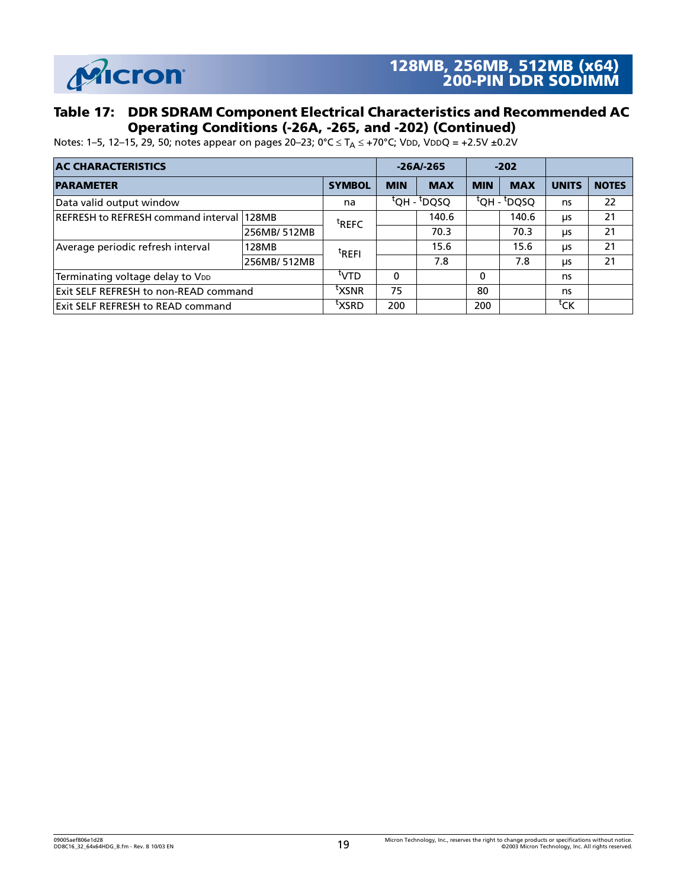

#### **Table 17: DDR SDRAM Component Electrical Characteristics and Recommended AC Operating Conditions (-26A, -265, and -202) (Continued)**

Notes: 1–5, 12–15, 29, 50; notes appear on pages 20–23; 0°C  $\leq T_A \leq$  +70°C; V<mark>DD, VDDQ = +2.5V ±0.2V</mark>

| <b>AC CHARACTERISTICS</b>                         |             |                   |            | $-26A/-265$                           | $-202$     |                                     |                    |              |
|---------------------------------------------------|-------------|-------------------|------------|---------------------------------------|------------|-------------------------------------|--------------------|--------------|
| <b>PARAMETER</b>                                  |             | <b>SYMBOL</b>     | <b>MIN</b> | <b>MAX</b>                            | <b>MIN</b> | <b>MAX</b>                          | <b>UNITS</b>       | <b>NOTES</b> |
| Data valid output window                          |             | na                |            | $\overline{Q}$ dH - <sup>t</sup> DQSQ |            | <sup>t</sup> QH - <sup>t</sup> DQSQ | ns                 | 22           |
| <b>IREFRESH to REFRESH command interval 128MB</b> |             | <sup>t</sup> REFC |            | 140.6                                 |            | 140.6                               | μs                 | 21           |
|                                                   | 256MB/512MB |                   |            | 70.3                                  |            | 70.3                                | μs                 | 21           |
| Average periodic refresh interval                 | 128MB       | <sup>t</sup> REFI |            | 15.6                                  |            | 15.6                                | μs                 | 21           |
|                                                   | 256MB/512MB |                   |            | 7.8                                   |            | 7.8                                 | μs                 | 21           |
| Terminating voltage delay to VDD                  |             | UTV <sup>I</sup>  | $\Omega$   |                                       | $\Omega$   |                                     | ns                 |              |
| <b>IExit SELF REFRESH to non-READ command</b>     |             | <sup>τ</sup> XSNR | 75         |                                       | 80         |                                     | ns                 |              |
| <b>Exit SELF REFRESH to READ command</b>          |             | ™XSRD             | 200        |                                       | 200        |                                     | ${}^{\text{t}}$ CK |              |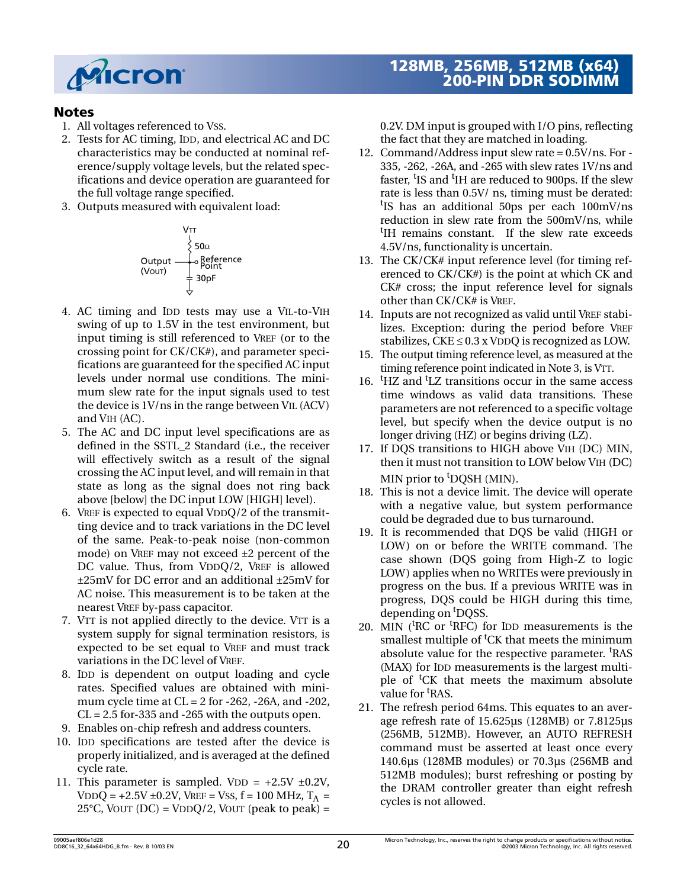

#### **Notes**

- <span id="page-19-0"></span>1. All voltages referenced to VSS.
- 2. Tests for AC timing, IDD, and electrical AC and DC characteristics may be conducted at nominal reference/supply voltage levels, but the related specifications and device operation are guaranteed for the full voltage range specified.
- <span id="page-19-17"></span>3. Outputs measured with equivalent load:



- 4. AC timing and IDD tests may use a VIL-to-VIH swing of up to 1.5V in the test environment, but input timing is still referenced to VREF (or to the crossing point for CK/CK#), and parameter specifications are guaranteed for the specified AC input levels under normal use conditions. The minimum slew rate for the input signals used to test the device is 1V/ns in the range between VIL (ACV) and VIH (AC).
- <span id="page-19-1"></span>5. The AC and DC input level specifications are as defined in the SSTL\_2 Standard (i.e., the receiver will effectively switch as a result of the signal crossing the AC input level, and will remain in that state as long as the signal does not ring back above [below] the DC input LOW [HIGH] level).
- <span id="page-19-3"></span>6. VREF is expected to equal VDDQ/2 of the transmitting device and to track variations in the DC level of the same. Peak-to-peak noise (non-common mode) on VREF may not exceed ±2 percent of the DC value. Thus, from VDDQ/2, VREF is allowed ±25mV for DC error and an additional ±25mV for AC noise. This measurement is to be taken at the nearest VREF by-pass capacitor.
- <span id="page-19-4"></span>7. VTT is not applied directly to the device. VTT is a system supply for signal termination resistors, is expected to be set equal to VREF and must track variations in the DC level of VREF.
- <span id="page-19-9"></span>8. IDD is dependent on output loading and cycle rates. Specified values are obtained with minimum cycle time at CL = 2 for -262, -26A, and -202,  $CL = 2.5$  for-335 and -265 with the outputs open.
- <span id="page-19-8"></span>9. Enables on-chip refresh and address counters.
- <span id="page-19-10"></span>10. IDD specifications are tested after the device is properly initialized, and is averaged at the defined cycle rate.
- <span id="page-19-12"></span>11. This parameter is sampled. VDD =  $+2.5V \pm 0.2V$ , VDDQ =  $+2.5V \pm 0.2V$ , VREF = VSS, f = 100 MHz, T<sub>A</sub> =  $25^{\circ}$ C, VOUT (DC) = VDDQ/2, VOUT (peak to peak) =

## **128MB, 256MB, 512MB (x64) 200-PIN DDR SODIMM**

0.2V. DM input is grouped with I/O pins, reflecting the fact that they are matched in loading.

- <span id="page-19-5"></span>12. Command/Address input slew rate = 0.5V/ns. For - 335, -262, -26A, and -265 with slew rates 1V/ns and faster, <sup>t</sup>IS and <sup>t</sup>IH are reduced to 900ps. If the slew rate is less than 0.5V/ ns, timing must be derated: t IS has an additional 50ps per each 100mV/ns reduction in slew rate from the 500mV/ns, while <sup>t</sup>IH remains constant. If the slew rate exceeds 4.5V/ns, functionality is uncertain.
- 13. The CK/CK# input reference level (for timing referenced to CK/CK#) is the point at which CK and CK# cross; the input reference level for signals other than CK/CK# is VREF.
- <span id="page-19-2"></span>14. Inputs are not recognized as valid until VREF stabilizes. Exception: during the period before VREF stabilizes,  $CKE \leq 0.3$  x VDDQ is recognized as LOW.
- <span id="page-19-13"></span>15. The output timing reference level, as measured at the timing reference point indicated in Note [3](#page-19-17), is VTT.
- <span id="page-19-11"></span>16. <sup>t</sup>HZ and <sup>t</sup>LZ transitions occur in the same access time windows as valid data transitions. These parameters are not referenced to a specific voltage level, but specify when the device output is no longer driving (HZ) or begins driving (LZ).
- <span id="page-19-16"></span>17. If DQS transitions to HIGH above VIH (DC) MIN, then it must not transition to LOW below VIH (DC) MIN prior to <sup>t</sup>DQSH (MIN).
- <span id="page-19-14"></span>18. This is not a device limit. The device will operate with a negative value, but system performance could be degraded due to bus turnaround.
- <span id="page-19-15"></span>19. It is recommended that DQS be valid (HIGH or LOW) on or before the WRITE command. The case shown (DQS going from High-Z to logic LOW) applies when no WRITEs were previously in progress on the bus. If a previous WRITE was in progress, DQS could be HIGH during this time, depending on <sup>t</sup>DQSS.
- <span id="page-19-6"></span>20. MIN ( ${}^t$ RC or  ${}^t$ RFC) for IDD measurements is the smallest multiple of <sup>t</sup>CK that meets the minimum absolute value for the respective parameter. <sup>t</sup>RAS (MAX) for IDD measurements is the largest multiple of <sup>t</sup>CK that meets the maximum absolute value for <sup>t</sup>RAS.
- <span id="page-19-7"></span>21. The refresh period 64ms. This equates to an average refresh rate of 15.625µs (128MB) or 7.8125µs (256MB, 512MB). However, an AUTO REFRESH command must be asserted at least once every 140.6µs (128MB modules) or 70.3µs (256MB and 512MB modules); burst refreshing or posting by the DRAM controller greater than eight refresh cycles is not allowed.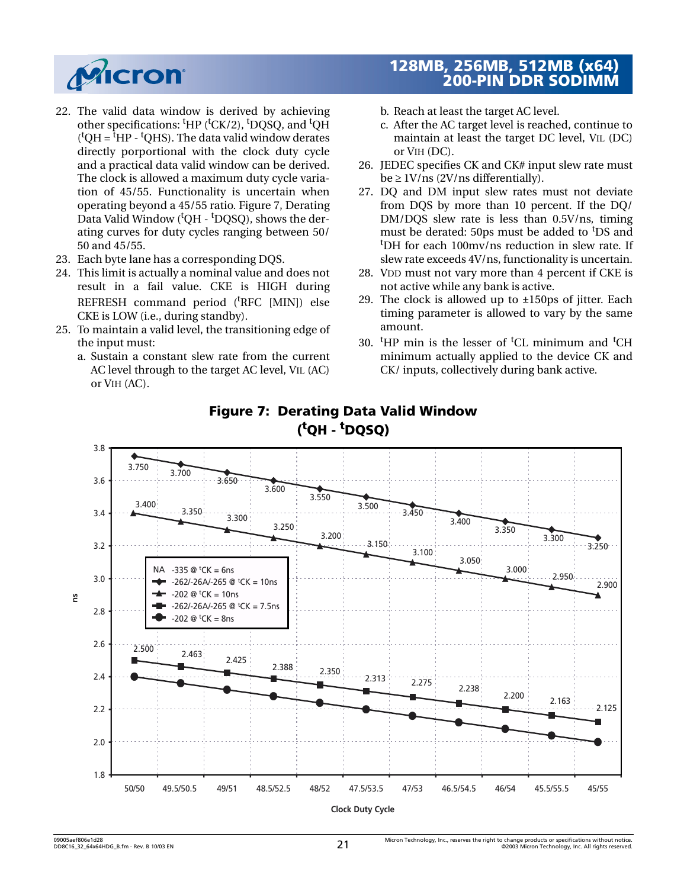

- <span id="page-20-3"></span>22. The valid data window is derived by achieving other specifications: <sup>t</sup>HP (<sup>t</sup>CK/2), <sup>t</sup>DQSQ, and <sup>t</sup>QH  $({}^{t}QH = {}^{t}HP - {}^{t}QHS)$ . The data valid window derates directly porportional with the clock duty cycle and a practical data valid window can be derived. The clock is allowed a maximum duty cycle variation of 45/55. Functionality is uncertain when operating beyond a 45/55 ratio. [Figure 7, Derating](#page-20-8) Data Valid Window (<sup>t</sup>QH - <sup>t</sup>DQSQ), shows the derating curves for duty cycles ranging between 50/ 50 and 45/55.
- <span id="page-20-5"></span>23. Each byte lane has a corresponding DQS.
- <span id="page-20-2"></span>24. This limit is actually a nominal value and does not result in a fail value. CKE is HIGH during REFRESH command period ('RFC [MIN]) else CKE is LOW (i.e., during standby).
- <span id="page-20-0"></span>25. To maintain a valid level, the transitioning edge of the input must:
	- a. Sustain a constant slew rate from the current AC level through to the target AC level, VIL (AC) or VIH (AC).

- b. Reach at least the target AC level.
- c. After the AC target level is reached, continue to maintain at least the target DC level, VIL (DC) or VIH (DC).
- <span id="page-20-4"></span>26. JEDEC specifies CK and CK# input slew rate must  $be \geq 1$ V/ns (2V/ns differentially).
- <span id="page-20-6"></span>27. DQ and DM input slew rates must not deviate from DQS by more than 10 percent. If the DQ/ DM/DQS slew rate is less than 0.5V/ns, timing must be derated: 50ps must be added to <sup>t</sup>DS and t DH for each 100mv/ns reduction in slew rate. If slew rate exceeds 4V/ns, functionality is uncertain.
- <span id="page-20-1"></span>28. VDD must not vary more than 4 percent if CKE is not active while any bank is active.
- <span id="page-20-7"></span>29. The clock is allowed up to  $\pm 150$ ps of jitter. Each timing parameter is allowed to vary by the same amount.
- 30.  $H$ P min is the lesser of <sup>t</sup>CL minimum and <sup>t</sup>CH minimum actually applied to the device CK and CK/ inputs, collectively during bank active.

<span id="page-20-8"></span>

## **Figure 7: Derating Data Valid Window ( t QH - t DQSQ)**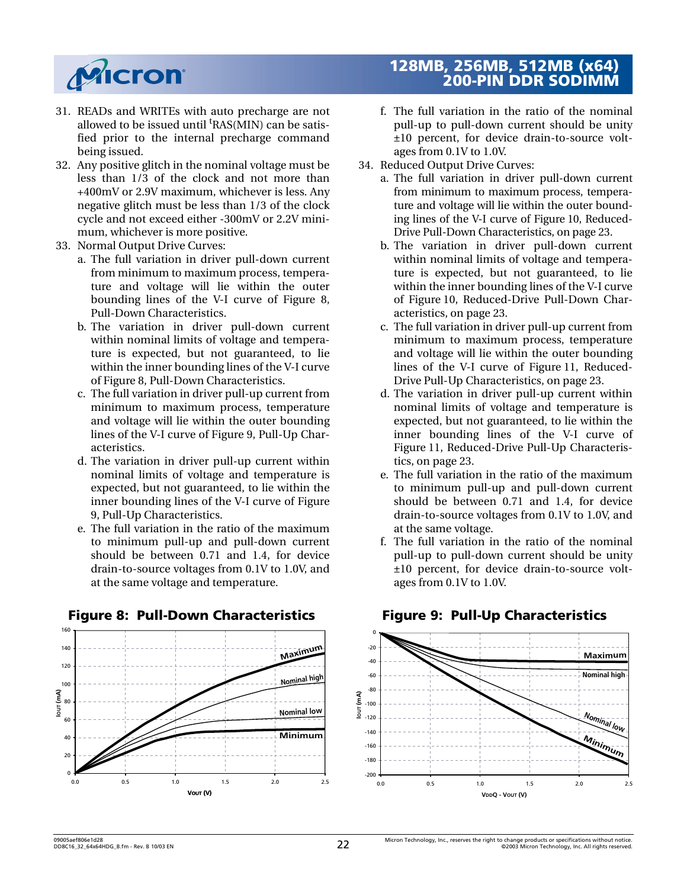

- 31. READs and WRITEs with auto precharge are not allowed to be issued until <sup>t</sup>RAS(MIN) can be satisfied prior to the internal precharge command being issued.
- 32. Any positive glitch in the nominal voltage must be less than 1/3 of the clock and not more than +400mV or 2.9V maximum, whichever is less. Any negative glitch must be less than 1/3 of the clock cycle and not exceed either -300mV or 2.2V minimum, whichever is more positive.
- <span id="page-21-0"></span>33. Normal Output Drive Curves:
	- a. The full variation in driver pull-down current from minimum to maximum process, temperature and voltage will lie within the outer bounding lines of the V-I curve of [Figure 8,](#page-21-2) [Pull-Down Characteristics](#page-21-2).
	- b. The variation in driver pull-down current within nominal limits of voltage and temperature is expected, but not guaranteed, to lie within the inner bounding lines of the V-I curve of [Figure 8, Pull-Down Characteristics.](#page-21-2)
	- c. The full variation in driver pull-up current from minimum to maximum process, temperature and voltage will lie within the outer bounding lines of the V-I curve of [Figure 9, Pull-Up Char](#page-21-1)[acteristics.](#page-21-1)
	- d. The variation in driver pull-up current within nominal limits of voltage and temperature is expected, but not guaranteed, to lie within the inner bounding lines of the V-I curve of [Figure](#page-21-1) [9, Pull-Up Characteristics.](#page-21-1)
	- e. The full variation in the ratio of the maximum to minimum pull-up and pull-down current should be between 0.71 and 1.4, for device drain-to-source voltages from 0.1V to 1.0V, and at the same voltage and temperature.



#### <span id="page-21-2"></span>**Figure 8: Pull-Down Characteristics Figure 9: Pull-Up Characteristics**

- f. The full variation in the ratio of the nominal pull-up to pull-down current should be unity ±10 percent, for device drain-to-source voltages from 0.1V to 1.0V.
- 34. Reduced Output Drive Curves:
	- a. The full variation in driver pull-down current from minimum to maximum process, temperature and voltage will lie within the outer bounding lines of the V-I curve of [Figure 10, Reduced-](#page-22-8)[Drive Pull-Down Characteristics, on page 23.](#page-22-8)
	- b. The variation in driver pull-down current within nominal limits of voltage and temperature is expected, but not guaranteed, to lie within the inner bounding lines of the V-I curve of [Figure 10, Reduced-Drive Pull-Down Char](#page-22-8)[acteristics, on page 23](#page-22-8).
	- c. The full variation in driver pull-up current from minimum to maximum process, temperature and voltage will lie within the outer bounding lines of the V-I curve of [Figure 11, Reduced-](#page-22-9)[Drive Pull-Up Characteristics, on page 23](#page-22-9).
	- d. The variation in driver pull-up current within nominal limits of voltage and temperature is expected, but not guaranteed, to lie within the inner bounding lines of the V-I curve of [Figure 11, Reduced-Drive Pull-Up Characteris](#page-22-9)[tics, on page 23](#page-22-9).
	- e. The full variation in the ratio of the maximum to minimum pull-up and pull-down current should be between 0.71 and 1.4, for device drain-to-source voltages from 0.1V to 1.0V, and at the same voltage.
	- f. The full variation in the ratio of the nominal pull-up to pull-down current should be unity ±10 percent, for device drain-to-source voltages from 0.1V to 1.0V.

<span id="page-21-1"></span>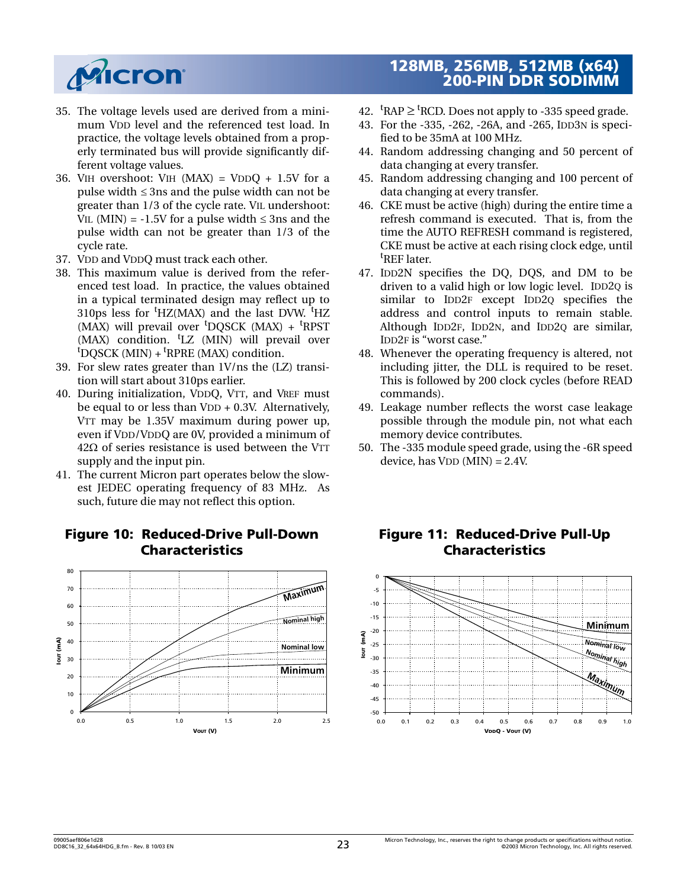

- 35. The voltage levels used are derived from a minimum VDD level and the referenced test load. In practice, the voltage levels obtained from a properly terminated bus will provide significantly different voltage values.
- 36. VIH overshoot: VIH  $(MAX) = VDDQ + 1.5V$  for a pulse width  $\leq$  3ns and the pulse width can not be greater than 1/3 of the cycle rate. VIL undershoot: VIL (MIN) =  $-1.5V$  for a pulse width  $\leq$  3ns and the pulse width can not be greater than 1/3 of the cycle rate.
- 37. VDD and VDDQ must track each other.
- 38. This maximum value is derived from the referenced test load. In practice, the values obtained in a typical terminated design may reflect up to 310ps less for <sup>t</sup>HZ(MAX) and the last DVW. <sup>t</sup>HZ (MAX) will prevail over <sup>t</sup>DQSCK (MAX) + <sup>t</sup>RPST (MAX) condition. <sup>t</sup>LZ (MIN) will prevail over <sup>t</sup>DQSCK (MIN) + <sup>t</sup>RPRE (MAX) condition.
- 39. For slew rates greater than 1V/ns the (LZ) transition will start about 310ps earlier.
- 40. During initialization, VDDQ, VTT, and VREF must be equal to or less than VDD + 0.3V. Alternatively, VTT may be 1.35V maximum during power up, even if VDD/VDDQ are 0V, provided a minimum of  $42\Omega$  of series resistance is used between the VTT supply and the input pin.
- <span id="page-22-6"></span>41. The current Micron part operates below the slowest JEDEC operating frequency of 83 MHz. As such, future die may not reflect this option.

## <span id="page-22-8"></span>**Figure 10: Reduced-Drive Pull-Down Characteristics**



## **128MB, 256MB, 512MB (x64) 200-PIN DDR SODIMM**

- 42.  ${}^{\text{t}}$ RAP  $\geq$   ${}^{\text{t}}$ RCD. Does not apply to -335 speed grade.
- <span id="page-22-4"></span>43. For the -335, -262, -26A, and -265, IDD3N is specified to be 35mA at 100 MHz.
- <span id="page-22-1"></span>44. Random addressing changing and 50 percent of data changing at every transfer.
- <span id="page-22-5"></span>45. Random addressing changing and 100 percent of data changing at every transfer.
- <span id="page-22-2"></span>46. CKE must be active (high) during the entire time a refresh command is executed. That is, from the time the AUTO REFRESH command is registered, CKE must be active at each rising clock edge, until t REF later.
- <span id="page-22-3"></span>47. IDD2N specifies the DQ, DQS, and DM to be driven to a valid high or low logic level. IDD2Q is similar to IDD2F except IDD2Q specifies the address and control inputs to remain stable. Although IDD2F, IDD2N, and IDD2Q are similar, IDD2F is "worst case."
- <span id="page-22-7"></span>48. Whenever the operating frequency is altered, not including jitter, the DLL is required to be reset. This is followed by 200 clock cycles (before READ commands).
- 49. Leakage number reflects the worst case leakage possible through the module pin, not what each memory device contributes.
- <span id="page-22-0"></span>50. The -335 module speed grade, using the -6R speed device, has  $VDD$  (MIN) = 2.4V.



## <span id="page-22-9"></span>**Figure 11: Reduced-Drive Pull-Up Characteristics**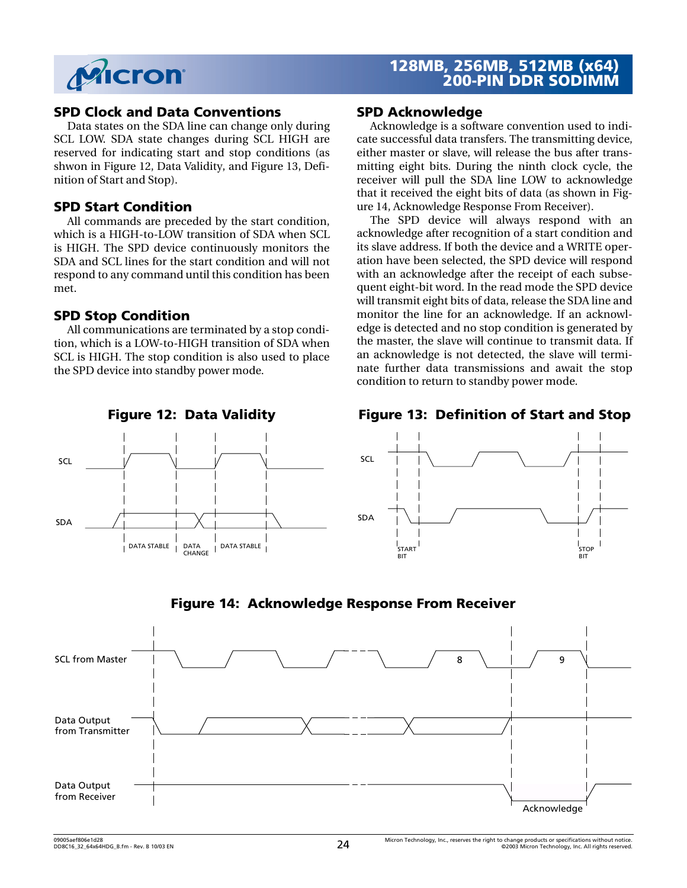

#### **SPD Clock and Data Conventions**

Data states on the SDA line can change only during SCL LOW. SDA state changes during SCL HIGH are reserved for indicating start and stop conditions (as shwon in [Figure 12, Data Validity](#page-23-0), and [Figure 13, Defi](#page-23-1)[nition of Start and Stop](#page-23-1)).

#### **SPD Start Condition**

All commands are preceded by the start condition, which is a HIGH-to-LOW transition of SDA when SCL is HIGH. The SPD device continuously monitors the SDA and SCL lines for the start condition and will not respond to any command until this condition has been met.

#### **SPD Stop Condition**

SCL

SDA

All communications are terminated by a stop condition, which is a LOW-to-HIGH transition of SDA when SCL is HIGH. The stop condition is also used to place the SPD device into standby power mode.

#### **SPD Acknowledge**

Acknowledge is a software convention used to indicate successful data transfers. The transmitting device, either master or slave, will release the bus after transmitting eight bits. During the ninth clock cycle, the receiver will pull the SDA line LOW to acknowledge that it received the eight bits of data (as shown in [Fig](#page-23-2)[ure 14, Acknowledge Response From Receiver](#page-23-2)).

The SPD device will always respond with an acknowledge after recognition of a start condition and its slave address. If both the device and a WRITE operation have been selected, the SPD device will respond with an acknowledge after the receipt of each subsequent eight-bit word. In the read mode the SPD device will transmit eight bits of data, release the SDA line and monitor the line for an acknowledge. If an acknowledge is detected and no stop condition is generated by the master, the slave will continue to transmit data. If an acknowledge is not detected, the slave will terminate further data transmissions and await the stop condition to return to standby power mode.

<span id="page-23-0"></span>

DATA STABLE DATA STABLE DATA CHANGE

#### **Figure 12: Data Validity Figure 13: Definition of Start and Stop**

<span id="page-23-1"></span>

<span id="page-23-2"></span>

**Figure 14: Acknowledge Response From Receiver**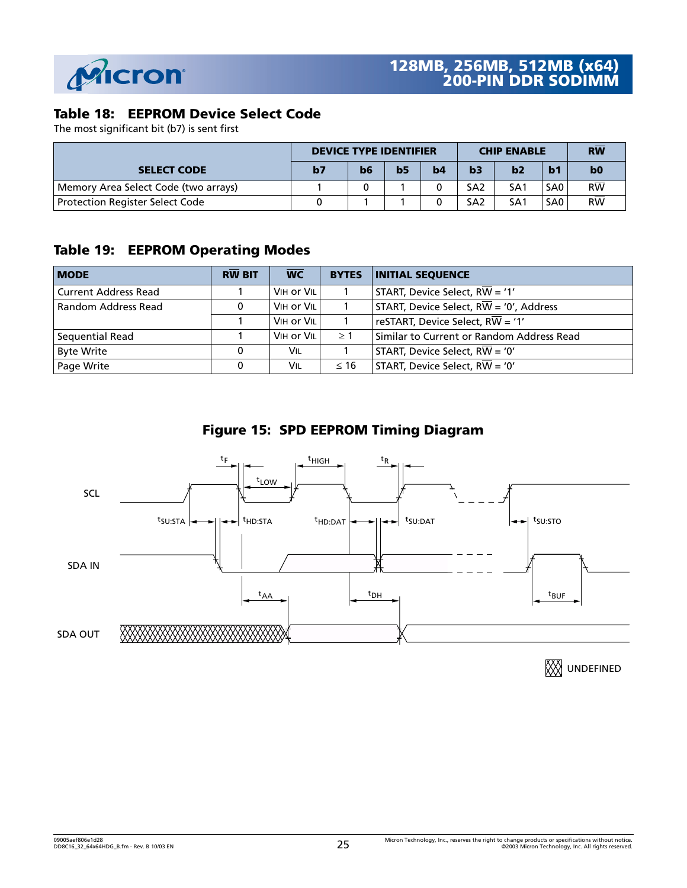

## **Table 18: EEPROM Device Select Code**

The most significant bit (b7) is sent first

|                                        | <b>DEVICE TYPE IDENTIFIER</b> |    |                |    | <b>CHIP ENABLE</b> | <b>RW</b>       |                 |                 |
|----------------------------------------|-------------------------------|----|----------------|----|--------------------|-----------------|-----------------|-----------------|
| <b>SELECT CODE</b>                     | b <sub>7</sub>                | b6 | b <sub>5</sub> | b4 | b3                 | b2              | b <sub>1</sub>  | b <sub>0</sub>  |
| Memory Area Select Code (two arrays)   |                               |    |                |    | SA <sub>2</sub>    | SA <sub>1</sub> | SA <sub>0</sub> | $R\overline{W}$ |
| <b>Protection Register Select Code</b> |                               |    |                |    | SA <sub>2</sub>    | SA1             | SA <sub>0</sub> | <b>RW</b>       |

## **Table 19: EEPROM Operating Modes**

| <b>MODE</b>                 | <b>RW BIT</b> | $\overline{\text{WC}}$ | <b>BYTES</b> | <b>INITIAL SEOUENCE</b>                              |
|-----------------------------|---------------|------------------------|--------------|------------------------------------------------------|
| <b>Current Address Read</b> |               | VIH or VIL             |              | START, Device Select, $R\overline{W}$ = '1'          |
| Random Address Read         |               | VIH or VIL             |              | START, Device Select, $R\overline{W}$ = '0', Address |
|                             |               | VIH or VIL             |              | reSTART, Device Select, $R\overline{W}$ = '1'        |
| Sequential Read             |               | VIH or VIL             | $\geq 1$     | Similar to Current or Random Address Read            |
| <b>Byte Write</b>           | 0             | Vil                    |              | START, Device Select, $R\overline{W}$ = '0'          |
| Page Write                  |               | Vil                    | $\leq 16$    | START, Device Select, $R\overline{W}$ = '0'          |





**XX**UNDEFINED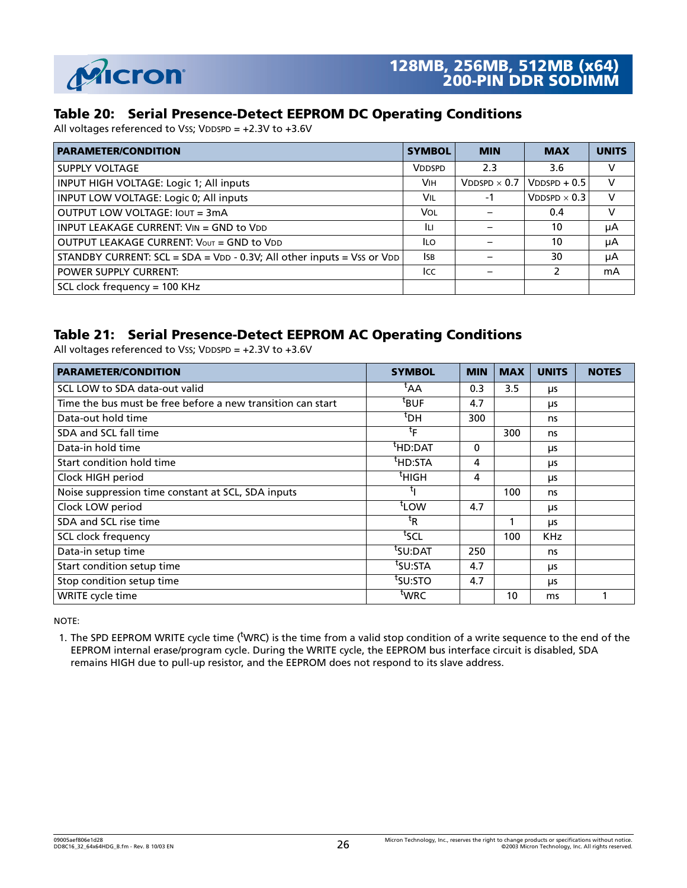

#### **Table 20: Serial Presence-Detect EEPROM DC Operating Conditions**

All voltages referenced to VSS; VDDSPD = +2.3V to +3.6V

| <b>PARAMETER/CONDITION</b>                                             | <b>SYMBOL</b> | <b>MIN</b>             | <b>MAX</b>             | <b>UNITS</b> |
|------------------------------------------------------------------------|---------------|------------------------|------------------------|--------------|
| <b>SUPPLY VOLTAGE</b>                                                  | <b>VDDSPD</b> | 2.3                    | 3.6                    | V            |
| INPUT HIGH VOLTAGE: Logic 1; All inputs                                | <b>VIH</b>    | $V$ DDSPD $\times$ 0.7 | $V$ DDSPD + 0.5        | $\vee$       |
| INPUT LOW VOLTAGE: Logic 0; All inputs                                 | Vil           | -1                     | $V$ DDSPD $\times$ 0.3 | V            |
| OUTPUT LOW VOLTAGE: IOUT = 3mA                                         | Vol           |                        | 0.4                    | v            |
| INPUT LEAKAGE CURRENT: VIN = GND to VDD                                | ĪЦ            |                        | 10                     | μA           |
| OUTPUT LEAKAGE CURRENT: VOUT = GND to VDD                              | ILO.          |                        | 10                     | μA           |
| STANDBY CURRENT: SCL = SDA = VDD - 0.3V; All other inputs = Vss or VDD | ISB.          |                        | 30                     | μA           |
| <b>POWER SUPPLY CURRENT:</b>                                           | Icc           |                        | $\mathcal{P}$          | mA           |
| SCL clock frequency = $100$ KHz                                        |               |                        |                        |              |

#### **Table 21: Serial Presence-Detect EEPROM AC Operating Conditions**

All voltages referenced to Vss; VDDSPD = +2.3V to +3.6V

| <b>PARAMETER/CONDITION</b>                                  | <b>SYMBOL</b>       | <b>MIN</b> | <b>MAX</b> | <b>UNITS</b> | <b>NOTES</b> |
|-------------------------------------------------------------|---------------------|------------|------------|--------------|--------------|
| SCL LOW to SDA data-out valid                               | ${}^{\text{t}}$ AA  | 0.3        | 3.5        | <b>LIS</b>   |              |
| Time the bus must be free before a new transition can start | <sup>t</sup> BUF    | 4.7        |            | <b>LIS</b>   |              |
| Data-out hold time                                          | <sup>t</sup> DH     | 300        |            | ns           |              |
| SDA and SCL fall time                                       | tF                  |            | 300        | ns           |              |
| Data-in hold time                                           | <sup>t</sup> HD:DAT | $\Omega$   |            | μs           |              |
| Start condition hold time                                   | <sup>t</sup> HD:STA | 4          |            | μs           |              |
| Clock HIGH period                                           | $t$ HIGH            | 4          |            | μs           |              |
| Noise suppression time constant at SCL, SDA inputs          | τլ                  |            | 100        | ns           |              |
| Clock LOW period                                            | t <sub>LOW</sub>    | 4.7        |            | μs           |              |
| SDA and SCL rise time                                       | <sup>t</sup> R      |            |            | <b>LIS</b>   |              |
| SCL clock frequency                                         | tscl                |            | 100        | <b>KHz</b>   |              |
| Data-in setup time                                          | <sup>t</sup> SU:DAT | 250        |            | ns           |              |
| Start condition setup time                                  | <sup>t</sup> SU:STA | 4.7        |            | <b>LIS</b>   |              |
| Stop condition setup time                                   | tsu:sto             | 4.7        |            | <b>LIS</b>   |              |
| WRITE cycle time                                            | <sup>t</sup> WRC    |            | 10         | ms           |              |

NOTE:

1. The SPD EEPROM WRITE cycle time ('WRC) is the time from a valid stop condition of a write sequence to the end of the EEPROM internal erase/program cycle. During the WRITE cycle, the EEPROM bus interface circuit is disabled, SDA remains HIGH due to pull-up resistor, and the EEPROM does not respond to its slave address.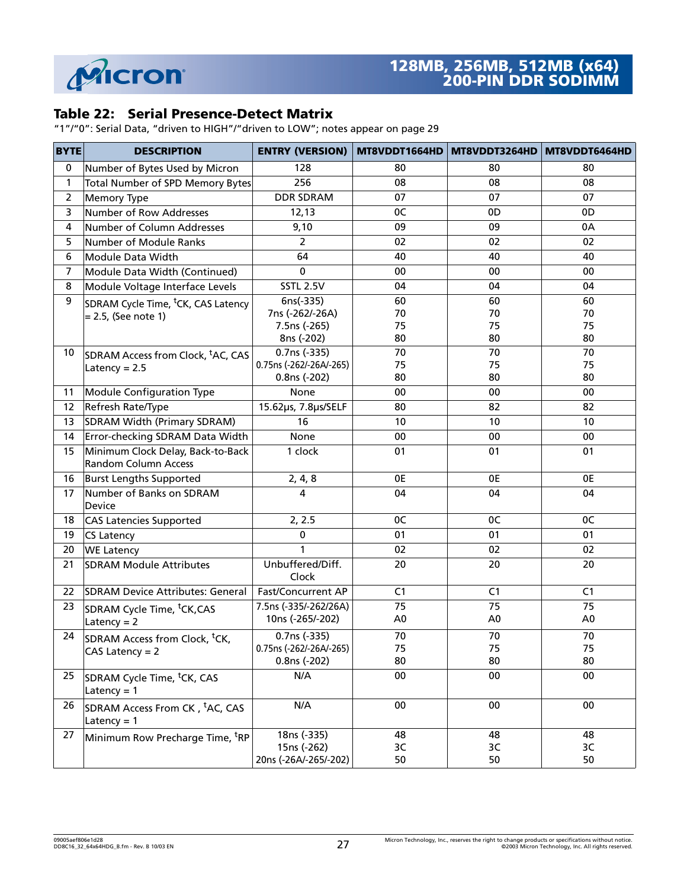

#### **Table 22: Serial Presence-Detect Matrix**

"1"/"0": Serial Data, "driven to HIGH"/"driven to LOW"; notes appear on [page 29](#page-28-0)

| <b>BYTE</b>      | <b>DESCRIPTION</b>                                               | ENTRY (VERSION) MT8VDDT1664HD MT8VDDT3264HD MT8VDDT6464HD |                      |                      |                      |
|------------------|------------------------------------------------------------------|-----------------------------------------------------------|----------------------|----------------------|----------------------|
| $\mathbf 0$      | Number of Bytes Used by Micron                                   | 128                                                       | 80                   | 80                   | 80                   |
| $\mathbf{1}$     | Total Number of SPD Memory Bytes                                 | 256                                                       | 08                   | 08                   | 08                   |
| $\mathbf 2$      | <b>Memory Type</b>                                               | <b>DDR SDRAM</b>                                          | 07                   | 07                   | 07                   |
| $\overline{3}$   | <b>Number of Row Addresses</b>                                   | 12,13                                                     | 0C                   | 0D                   | 0D                   |
| $\pmb{4}$        | Number of Column Addresses                                       | 9,10                                                      | 09                   | 09                   | 0A                   |
| 5                | Number of Module Ranks                                           | $\overline{2}$                                            | 02                   | 02                   | 02                   |
| $\boldsymbol{6}$ | Module Data Width                                                | 64                                                        | 40                   | 40                   | 40                   |
| $\overline{7}$   | Module Data Width (Continued)                                    | $\mathbf 0$                                               | 00                   | 00                   | 00                   |
| 8                | Module Voltage Interface Levels                                  | <b>SSTL 2.5V</b>                                          | 04                   | 04                   | 04                   |
| 9                | SDRAM Cycle Time, <sup>t</sup> CK, CAS Latency                   | $6ns(-335)$                                               | 60                   | 60                   | 60                   |
|                  | = 2.5, (See note 1)                                              | 7ns (-262/-26A)                                           | 70                   | 70                   | 70                   |
|                  |                                                                  | 7.5ns (-265)<br>8ns (-202)                                | 75<br>80             | 75<br>80             | 75<br>80             |
| 10               |                                                                  | 0.7ns (-335)                                              | 70                   | 70                   | 70                   |
|                  | SDRAM Access from Clock, <sup>t</sup> AC, CAS                    | 0.75ns (-262/-26A/-265)                                   | 75                   | 75                   | 75                   |
|                  | Latency = $2.5$                                                  | 0.8ns (-202)                                              | 80                   | 80                   | 80                   |
| 11               | Module Configuration Type                                        | None                                                      | 00                   | 00                   | 00                   |
| 12               | Refresh Rate/Type                                                | 15.62µs, 7.8µs/SELF                                       | 80                   | 82                   | 82                   |
| 13               | SDRAM Width (Primary SDRAM)                                      | 16                                                        | 10                   | 10                   | 10 <sup>°</sup>      |
| 14               | Error-checking SDRAM Data Width                                  | None                                                      | 00                   | 00                   | 00                   |
| 15               | Minimum Clock Delay, Back-to-Back<br><b>Random Column Access</b> | 1 clock                                                   | 01                   | 01                   | 01                   |
| 16               | <b>Burst Lengths Supported</b>                                   | 2, 4, 8                                                   | 0E                   | 0E                   | 0E                   |
| 17               | Number of Banks on SDRAM<br>Device                               | 4                                                         | 04                   | 04                   | 04                   |
| 18               | <b>CAS Latencies Supported</b>                                   | 2, 2.5                                                    | 0C                   | 0C                   | 0C                   |
| 19               | <b>CS Latency</b>                                                | 0                                                         | 01                   | 01                   | 01                   |
| 20               | <b>WE Latency</b>                                                | 1                                                         | 02                   | 02                   | 02                   |
| 21               | <b>SDRAM Module Attributes</b>                                   | Unbuffered/Diff.<br>Clock                                 | 20                   | 20                   | 20                   |
| 22               | <b>SDRAM Device Attributes: General</b>                          | <b>Fast/Concurrent AP</b>                                 | C1                   | C <sub>1</sub>       | C <sub>1</sub>       |
| 23               | SDRAM Cycle Time, <sup>t</sup> CK,CAS<br>Latency = $2$           | 7.5ns (-335/-262/26A)<br>10ns (-265/-202)                 | 75<br>A <sub>0</sub> | 75<br>A <sub>0</sub> | 75<br>A <sub>0</sub> |
| 24               | SDRAM Access from Clock, <sup>t</sup> CK,<br>$CAS$ Latency = $2$ | 0.7ns (-335)<br>0.75ns (-262/-26A/-265)<br>0.8ns (-202)   | 70<br>75<br>80       | 70<br>75<br>80       | 70<br>75<br>80       |
| 25               | SDRAM Cycle Time, <sup>t</sup> CK, CAS<br>Latency = $1$          | N/A                                                       | 00                   | 00                   | 00                   |
| 26               | SDRAM Access From CK, <sup>t</sup> AC, CAS<br>Latency = $1$      | N/A                                                       | 00                   | 00                   | 00                   |
| 27               | Minimum Row Precharge Time, <sup>t</sup> RP                      | 18ns (-335)<br>15ns (-262)<br>20ns (-26A/-265/-202)       | 48<br>3C<br>50       | 48<br>3C<br>50       | 48<br>3C<br>50       |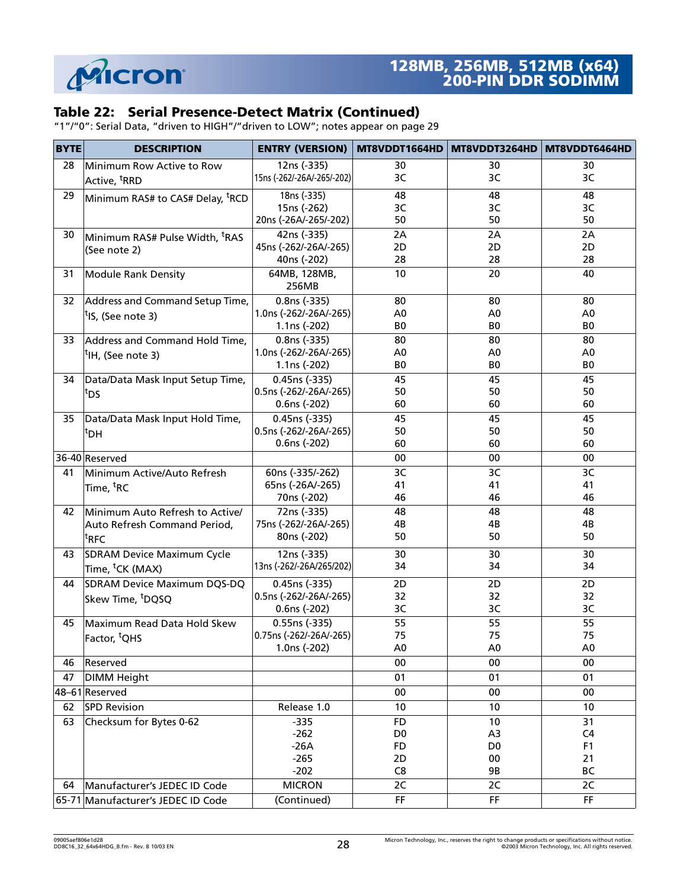

## **Table 22: Serial Presence-Detect Matrix (Continued)**

"1"/"0": Serial Data, "driven to HIGH"/"driven to LOW"; notes appear on page 29

| <b>BYTE</b> | <b>DESCRIPTION</b>                           | <b>ENTRY (VERSION)</b>     | MT8VDDT1664HD  | MT8VDDT3264HD   MT8VDDT6464HD |                |
|-------------|----------------------------------------------|----------------------------|----------------|-------------------------------|----------------|
| 28          | Minimum Row Active to Row                    | 12ns (-335)                | 30             | 30                            | 30             |
|             | Active, <sup>t</sup> RRD                     | 15ns (-262/-26A/-265/-202) | 3C             | 3C                            | 3C             |
| 29          | Minimum RAS# to CAS# Delay, <sup>t</sup> RCD | 18ns (-335)                | 48             | 48                            | 48             |
|             |                                              | 15ns (-262)                | 3C             | 3C                            | 3C             |
|             |                                              | 20ns (-26A/-265/-202)      | 50             | 50                            | 50             |
| 30          | Minimum RAS# Pulse Width, <sup>t</sup> RAS   | 42ns (-335)                | 2A             | 2A                            | 2A             |
|             | (See note 2)                                 | 45ns (-262/-26A/-265)      | 2D             | 2D                            | 2D             |
|             |                                              | 40ns (-202)                | 28             | 28                            | 28             |
| 31          | <b>Module Rank Density</b>                   | 64MB, 128MB,               | 10             | 20                            | 40             |
|             |                                              | 256MB                      |                |                               |                |
| 32          | Address and Command Setup Time,              | $0.8ns (-335)$             | 80             | 80                            | 80             |
|             | <sup>t</sup> IS, (See note 3)                | 1.0ns (-262/-26A/-265)     | A <sub>0</sub> | A <sub>0</sub>                | A <sub>0</sub> |
|             |                                              | 1.1ns (-202)               | BO             | BO                            | BO             |
| 33          | Address and Command Hold Time,               | 0.8ns (-335)               | 80             | 80                            | 80             |
|             | <sup>t</sup> IH, (See note 3)                | 1.0ns (-262/-26A/-265)     | A <sub>0</sub> | A <sub>0</sub>                | A <sub>0</sub> |
|             |                                              | 1.1ns (-202)               | BO             | BO                            | B <sub>0</sub> |
| 34          | Data/Data Mask Input Setup Time,             | $0.45ns (-335)$            | 45             | 45                            | 45             |
|             | tds                                          | 0.5ns (-262/-26A/-265)     | 50             | 50                            | 50             |
|             |                                              | 0.6ns (-202)               | 60             | 60                            | 60             |
| 35          | Data/Data Mask Input Hold Time,              | 0.45ns (-335)              | 45             | 45                            | 45             |
|             | <sup>t</sup> DH                              | 0.5ns (-262/-26A/-265)     | 50             | 50                            | 50             |
|             |                                              | 0.6ns (-202)               | 60             | 60                            | 60             |
|             | 36-40 Reserved                               |                            | 00             | 00                            | 00             |
| 41          | Minimum Active/Auto Refresh                  | 60ns (-335/-262)           | 3C             | 3C                            | 3C             |
|             | Time, <sup>t</sup> RC                        | 65ns (-26A/-265)           | 41             | 41                            | 41             |
|             |                                              | 70ns (-202)                | 46             | 46                            | 46             |
| 42          | Minimum Auto Refresh to Active/              | 72ns (-335)                | 48             | 48                            | 48             |
|             | Auto Refresh Command Period,                 | 75ns (-262/-26A/-265)      | 4B             | 4B                            | 4B             |
|             | $\mathsf{t}_{\mathsf{RFC}}$                  | 80ns (-202)                | 50             | 50                            | 50             |
| 43          | SDRAM Device Maximum Cycle                   | 12ns (-335)                | 30             | 30                            | 30             |
|             | Time, <sup>t</sup> CK (MAX)                  | 13ns (-262/-26A/265/202)   | 34             | 34                            | 34             |
| 44          | SDRAM Device Maximum DQS-DQ                  | 0.45ns (-335)              | 2D             | 2D                            | 2D             |
|             | Skew Time, <sup>t</sup> DQSQ                 | 0.5ns (-262/-26A/-265)     | 32             | 32                            | 32             |
|             |                                              | 0.6ns (-202)               | 3C             | 3C                            | 3C             |
| 45          | Maximum Read Data Hold Skew                  | 0.55ns (-335)              | 55             | 55                            | 55             |
|             | Factor, <sup>t</sup> QHS                     | 0.75ns (-262/-26A/-265)    | 75             | 75                            | 75             |
|             |                                              | 1.0ns (-202)               | A <sub>0</sub> | A <sub>0</sub>                | A <sub>0</sub> |
| 46          | Reserved                                     |                            | 00             | 00                            | 00             |
| 47          | <b>DIMM Height</b>                           |                            | 01             | 01                            | 01             |
|             | 48-61 Reserved                               |                            | 00             | 00                            | 00             |
| 62          | <b>SPD Revision</b>                          | Release 1.0                | 10             | 10                            | 10             |
| 63          | Checksum for Bytes 0-62                      | $-335$                     | FD             | 10                            | 31             |
|             |                                              | $-262$                     | D <sub>0</sub> | A <sub>3</sub>                | C <sub>4</sub> |
|             |                                              | $-26A$                     | FD             | D <sub>0</sub>                | F <sub>1</sub> |
|             |                                              | $-265$                     | 2D             | 00                            | 21             |
|             |                                              | $-202$                     | C <sub>8</sub> | 9B                            | BC             |
| 64          | Manufacturer's JEDEC ID Code                 | <b>MICRON</b>              | 2C             | 2C                            | 2C             |
|             | 65-71 Manufacturer's JEDEC ID Code           | (Continued)                | FF             | FF                            | FF.            |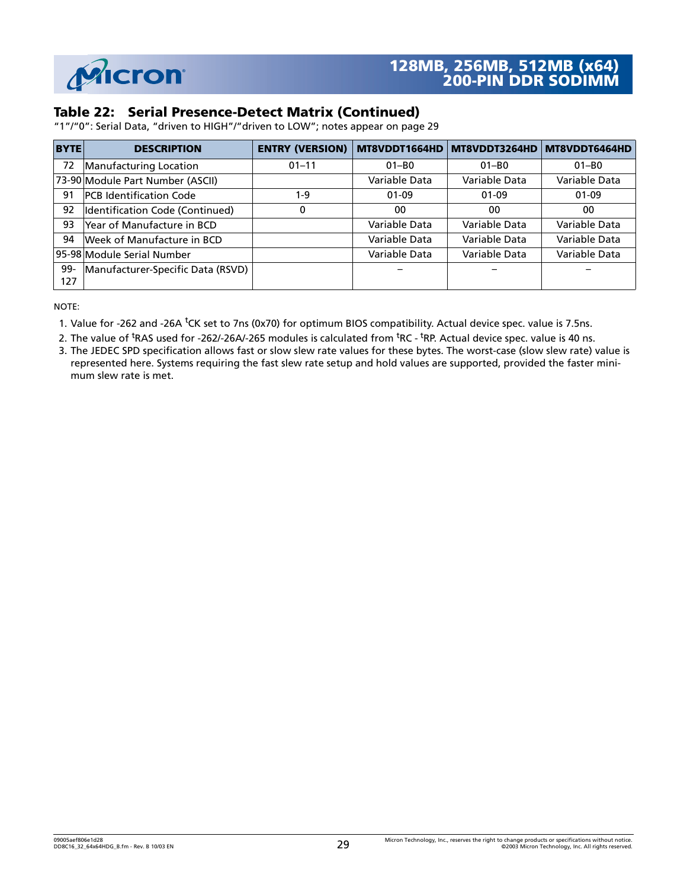

#### **Table 22: Serial Presence-Detect Matrix (Continued)**

"1"/"0": Serial Data, "driven to HIGH"/"driven to LOW"; notes appear on page 29

| <b>BYTE</b> | <b>DESCRIPTION</b>                | <b>ENTRY (VERSION)</b> | MT8VDDT1664HD | MT8VDDT3264HD | MT8VDDT6464HD |
|-------------|-----------------------------------|------------------------|---------------|---------------|---------------|
| 72          | Manufacturing Location            | $01 - 11$              | $01 - B0$     | $01 - B0$     | $01 - B0$     |
|             | 73-90 Module Part Number (ASCII)  |                        | Variable Data | Variable Data | Variable Data |
| 91          | <b>PCB</b> Identification Code    | $1 - 9$                | $01-09$       | $01-09$       | $01 - 09$     |
| 92          | Identification Code (Continued)   | 0                      | 00            | 00            | 00            |
| 93          | Year of Manufacture in BCD        |                        | Variable Data | Variable Data | Variable Data |
| 94          | Week of Manufacture in BCD        |                        | Variable Data | Variable Data | Variable Data |
|             | 95-98 Module Serial Number        |                        | Variable Data | Variable Data | Variable Data |
| 99-         | Manufacturer-Specific Data (RSVD) |                        |               |               |               |
| 127         |                                   |                        |               |               |               |

NOTE:

<span id="page-28-0"></span>1. Value for -262 and -26A <sup>t</sup>CK set to 7ns (0x70) for optimum BIOS compatibility. Actual device spec. value is 7.5ns.

<span id="page-28-1"></span>2. The value of <sup>t</sup>RAS used for -262/-26A/-265 modules is calculated from <sup>t</sup>RC - <sup>t</sup>RP. Actual device spec. value is 40 ns.

<span id="page-28-2"></span>3. The JEDEC SPD specification allows fast or slow slew rate values for these bytes. The worst-case (slow slew rate) value is represented here. Systems requiring the fast slew rate setup and hold values are supported, provided the faster minimum slew rate is met.